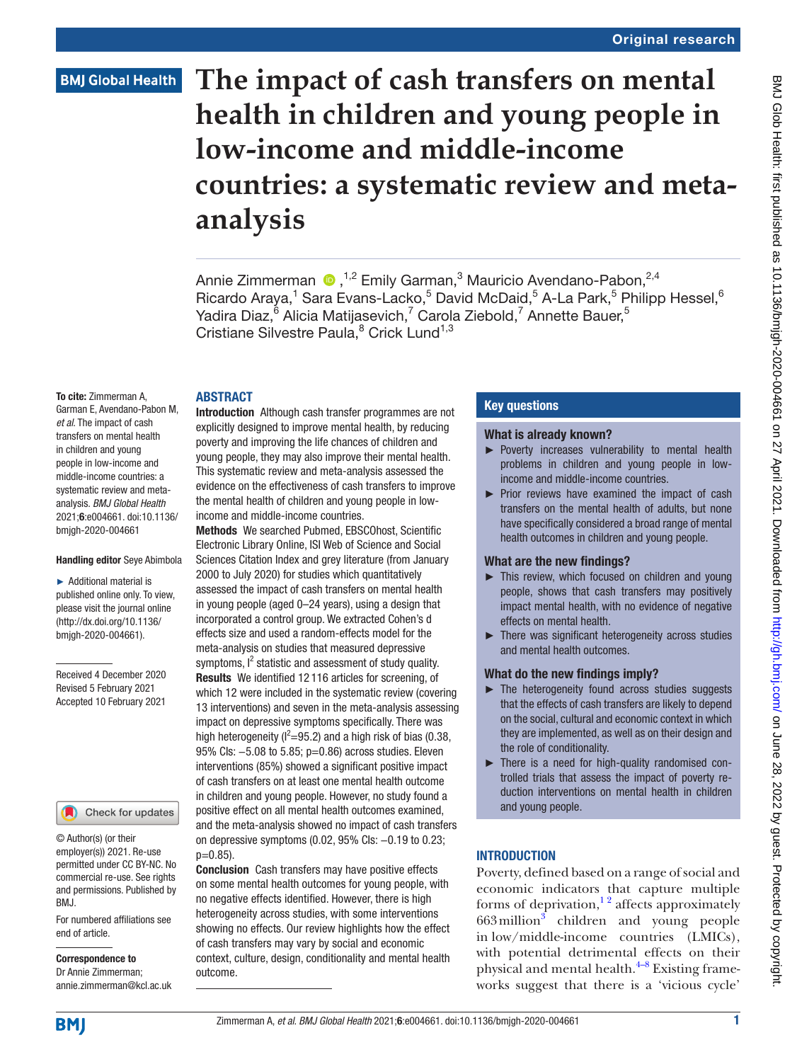# **The impact of cash transfers on mental health in children and young people in low-income and middle-income countries: a systematic review and metaanalysis**

AnnieZimmerman (D, <sup>1,2</sup> Emily Garman,<sup>3</sup> Mauricio Avendano-Pabon,<sup>2,4</sup> Ricardo Araya,<sup>1</sup> Sara Evans-Lacko,<sup>5</sup> David McDaid,<sup>5</sup> A-La Park,<sup>5</sup> Philipp Hessel,<sup>6</sup> Yadira Diaz, $^{\tilde{6}}$  Alicia Matijasevich, $^7$  Carola Ziebold, $^7$  Annette Bauer, $^5$ Cristiane Silvestre Paula,<sup>8</sup> Crick Lund<sup>1,3</sup>

#### ABSTRACT

To cite: Zimmerman A, Garman E, Avendano-Pabon M, *et al*. The impact of cash transfers on mental health in children and young people in low-income and middle-income countries: a systematic review and metaanalysis. *BMJ Global Health* 2021;6:e004661. doi:10.1136/ bmjgh-2020-004661

#### Handling editor Seye Abimbola

► Additional material is published online only. To view, please visit the journal online (http://dx.doi.org/10.1136/ bmjgh-2020-004661).

Received 4 December 2020 Revised 5 February 2021 Accepted 10 February 2021



© Author(s) (or their employer(s)) 2021. Re-use permitted under CC BY-NC. No commercial re-use. See rights and permissions. Published by BMJ.

For numbered affiliations see end of article.

Correspondence to Dr Annie Zimmerman; annie.zimmerman@kcl.ac.uk Introduction Although cash transfer programmes are not explicitly designed to improve mental health, by reducing poverty and improving the life chances of children and young people, they may also improve their mental health. This systematic review and meta-analysis assessed the evidence on the effectiveness of cash transfers to improve the mental health of children and young people in lowincome and middle-income countries.

Methods We searched Pubmed, EBSCOhost, Scientific Electronic Library Online, ISI Web of Science and Social Sciences Citation Index and grey literature (from January 2000 to July 2020) for studies which quantitatively assessed the impact of cash transfers on mental health in young people (aged 0–24 years), using a design that incorporated a control group. We extracted Cohen's d effects size and used a random-effects model for the meta-analysis on studies that measured depressive symptoms, I<sup>2</sup> statistic and assessment of study quality. Results We identified 12 116 articles for screening, of which 12 were included in the systematic review (covering 13 interventions) and seven in the meta-analysis assessing impact on depressive symptoms specifically. There was high heterogeneity ( $l^2$ =95.2) and a high risk of bias (0.38, 95% Cls: -5.08 to 5.85; p=0.86) across studies. Eleven interventions (85%) showed a significant positive impact of cash transfers on at least one mental health outcome in children and young people. However, no study found a positive effect on all mental health outcomes examined, and the meta-analysis showed no impact of cash transfers on depressive symptoms (0.02, 95% CIs: −0.19 to 0.23; p=0.85).

Conclusion Cash transfers may have positive effects on some mental health outcomes for young people, with no negative effects identified. However, there is high heterogeneity across studies, with some interventions showing no effects. Our review highlights how the effect of cash transfers may vary by social and economic context, culture, design, conditionality and mental health outcome.

# Key questions

## What is already known?

- ► Poverty increases vulnerability to mental health problems in children and young people in lowincome and middle-income countries.
- ► Prior reviews have examined the impact of cash transfers on the mental health of adults, but none have specifically considered a broad range of mental health outcomes in children and young people.

# What are the new findings?

- ► This review, which focused on children and young people, shows that cash transfers may positively impact mental health, with no evidence of negative effects on mental health.
- ► There was significant heterogeneity across studies and mental health outcomes.

# What do the new findings imply?

- ► The heterogeneity found across studies suggests that the effects of cash transfers are likely to depend on the social, cultural and economic context in which they are implemented, as well as on their design and the role of conditionality.
- ► There is a need for high-quality randomised controlled trials that assess the impact of poverty reduction interventions on mental health in children and young people.

# **INTRODUCTION**

Poverty, defined based on a range of social and economic indicators that capture multiple forms of deprivation, $\frac{1}{2}$  affects approximately 66[3](#page-14-1) million<sup>3</sup> children and young people in low/middle-income countries (LMICs), with potential detrimental effects on their physical and mental health. $4-8$  Existing frameworks suggest that there is a 'vicious cycle'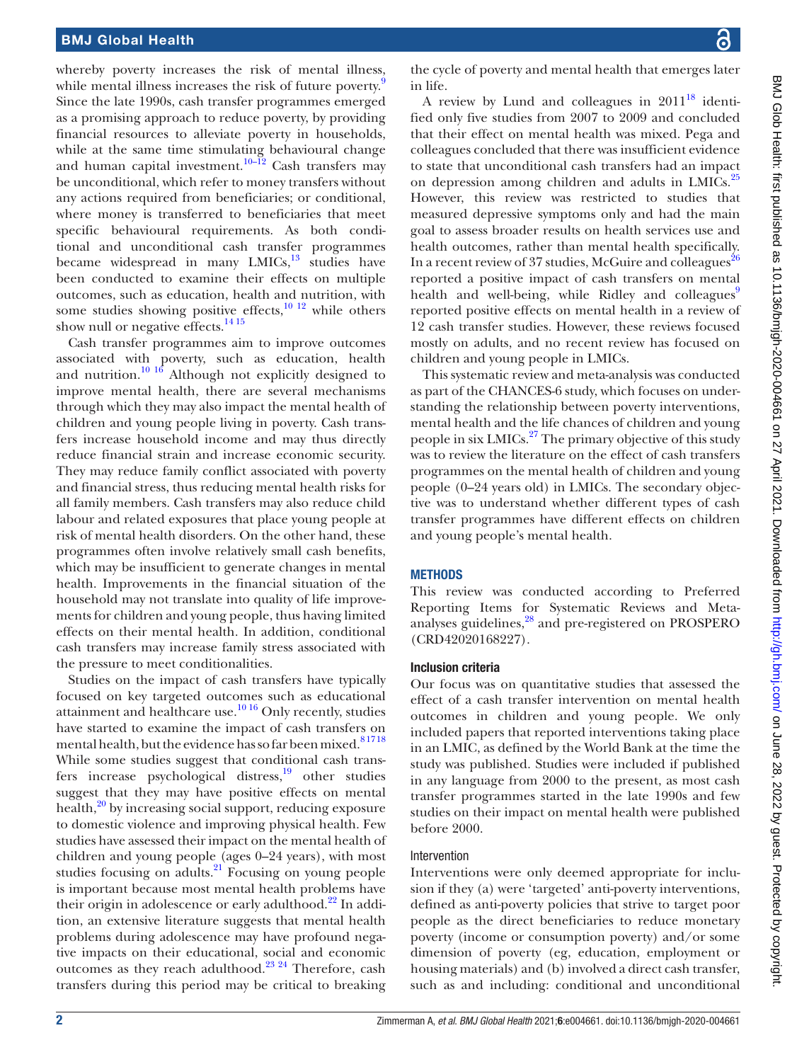whereby poverty increases the risk of mental illness, while mental illness increases the risk of future poverty.<sup>[9](#page-14-3)</sup> Since the late 1990s, cash transfer programmes emerged as a promising approach to reduce poverty, by providing financial resources to alleviate poverty in households, while at the same time stimulating behavioural change and human capital investment.<sup>[10–12](#page-14-4)</sup> Cash transfers may be unconditional, which refer to money transfers without any actions required from beneficiaries; or conditional, where money is transferred to beneficiaries that meet specific behavioural requirements. As both conditional and unconditional cash transfer programmes became widespread in many  $LMICs$ ,<sup>[13](#page-14-5)</sup> studies have been conducted to examine their effects on multiple outcomes, such as education, health and nutrition, with some studies showing positive effects, $10^{12}$  while others show null or negative effects.<sup>[14 15](#page-14-6)</sup>

Cash transfer programmes aim to improve outcomes associated with poverty, such as education, health and nutrition.<sup>[10 16](#page-14-4)</sup> Although not explicitly designed to improve mental health, there are several mechanisms through which they may also impact the mental health of children and young people living in poverty. Cash transfers increase household income and may thus directly reduce financial strain and increase economic security. They may reduce family conflict associated with poverty and financial stress, thus reducing mental health risks for all family members. Cash transfers may also reduce child labour and related exposures that place young people at risk of mental health disorders. On the other hand, these programmes often involve relatively small cash benefits, which may be insufficient to generate changes in mental health. Improvements in the financial situation of the household may not translate into quality of life improvements for children and young people, thus having limited effects on their mental health. In addition, conditional cash transfers may increase family stress associated with the pressure to meet conditionalities.

Studies on the impact of cash transfers have typically focused on key targeted outcomes such as educational attainment and healthcare use.<sup>10 16</sup> Only recently, studies have started to examine the impact of cash transfers on mental health, but the evidence has so far been mixed.<sup>81718</sup> While some studies suggest that conditional cash transfers increase psychological distress,<sup>19</sup> other studies suggest that they may have positive effects on mental health,<sup>20</sup> by increasing social support, reducing exposure to domestic violence and improving physical health. Few studies have assessed their impact on the mental health of children and young people (ages 0–24 years), with most studies focusing on adults. $21$  Focusing on young people is important because most mental health problems have their origin in adolescence or early adulthood.<sup>22</sup> In addition, an extensive literature suggests that mental health problems during adolescence may have profound negative impacts on their educational, social and economic outcomes as they reach adulthood.[23 24](#page-14-12) Therefore, cash transfers during this period may be critical to breaking

the cycle of poverty and mental health that emerges later in life.

A review by Lund and colleagues in  $2011^{18}$  identified only five studies from 2007 to 2009 and concluded that their effect on mental health was mixed. Pega and colleagues concluded that there was insufficient evidence to state that unconditional cash transfers had an impact on depression among children and adults in LMICs.<sup>25</sup> However, this review was restricted to studies that measured depressive symptoms only and had the main goal to assess broader results on health services use and health outcomes, rather than mental health specifically. In a recent review of 37 studies, McGuire and colleagues<sup>[26](#page-15-1)</sup> reported a positive impact of cash transfers on mental health and well-being, while Ridley and colleagues reported positive effects on mental health in a review of 12 cash transfer studies. However, these reviews focused mostly on adults, and no recent review has focused on children and young people in LMICs.

This systematic review and meta-analysis was conducted as part of the CHANCES-6 study, which focuses on understanding the relationship between poverty interventions, mental health and the life chances of children and young people in six LMICs.<sup>[27](#page-15-2)</sup> The primary objective of this study was to review the literature on the effect of cash transfers programmes on the mental health of children and young people (0–24 years old) in LMICs. The secondary objective was to understand whether different types of cash transfer programmes have different effects on children and young people's mental health.

# **METHODS**

This review was conducted according to Preferred Reporting Items for Systematic Reviews and Meta-analyses guidelines,<sup>[28](#page-15-3)</sup> and pre-registered on PROSPERO (CRD42020168227).

# Inclusion criteria

Our focus was on quantitative studies that assessed the effect of a cash transfer intervention on mental health outcomes in children and young people. We only included papers that reported interventions taking place in an LMIC, as defined by the World Bank at the time the study was published. Studies were included if published in any language from 2000 to the present, as most cash transfer programmes started in the late 1990s and few studies on their impact on mental health were published before 2000.

#### Intervention

Interventions were only deemed appropriate for inclusion if they (a) were 'targeted' anti-poverty interventions, defined as anti-poverty policies that strive to target poor people as the direct beneficiaries to reduce monetary poverty (income or consumption poverty) and/or some dimension of poverty (eg, education, employment or housing materials) and (b) involved a direct cash transfer, such as and including: conditional and unconditional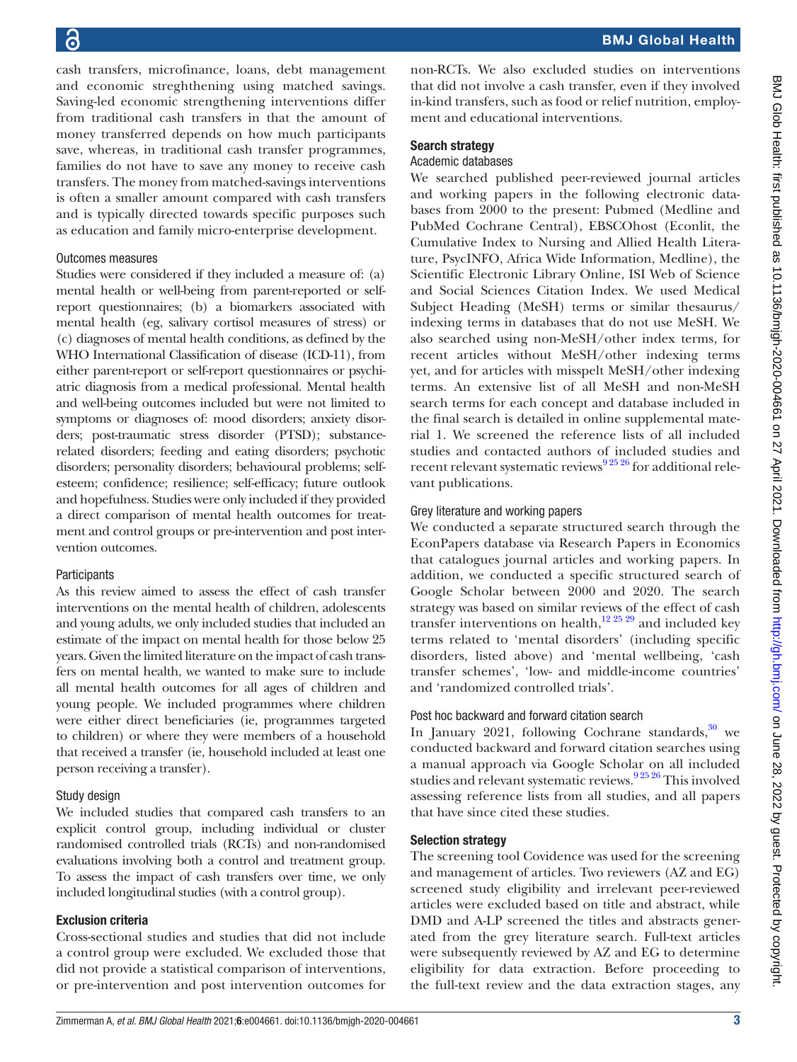cash transfers, microfinance, loans, debt management and economic streghthening using matched savings. Saving-led economic strengthening interventions differ from traditional cash transfers in that the amount of money transferred depends on how much participants save, whereas, in traditional cash transfer programmes, families do not have to save any money to receive cash transfers. The money from matched-savings interventions is often a smaller amount compared with cash transfers and is typically directed towards specific purposes such as education and family micro-enterprise development.

## Outcomes measures

Studies were considered if they included a measure of: (a) mental health or well-being from parent-reported or selfreport questionnaires; (b) a biomarkers associated with mental health (eg, salivary cortisol measures of stress) or (c) diagnoses of mental health conditions, as defined by the WHO International Classification of disease (ICD-11), from either parent-report or self-report questionnaires or psychiatric diagnosis from a medical professional. Mental health and well-being outcomes included but were not limited to symptoms or diagnoses of: mood disorders; anxiety disorders; post-traumatic stress disorder (PTSD); substancerelated disorders; feeding and eating disorders; psychotic disorders; personality disorders; behavioural problems; selfesteem; confidence; resilience; self-efficacy; future outlook and hopefulness. Studies were only included if they provided a direct comparison of mental health outcomes for treatment and control groups or pre-intervention and post intervention outcomes.

# **Participants**

As this review aimed to assess the effect of cash transfer interventions on the mental health of children, adolescents and young adults, we only included studies that included an estimate of the impact on mental health for those below 25 years. Given the limited literature on the impact of cash transfers on mental health, we wanted to make sure to include all mental health outcomes for all ages of children and young people. We included programmes where children were either direct beneficiaries (ie, programmes targeted to children) or where they were members of a household that received a transfer (ie, household included at least one person receiving a transfer).

# Study design

We included studies that compared cash transfers to an explicit control group, including individual or cluster randomised controlled trials (RCTs) and non-randomised evaluations involving both a control and treatment group. To assess the impact of cash transfers over time, we only included longitudinal studies (with a control group).

# Exclusion criteria

Cross-sectional studies and studies that did not include a control group were excluded. We excluded those that did not provide a statistical comparison of interventions, or pre-intervention and post intervention outcomes for

non-RCTs. We also excluded studies on interventions that did not involve a cash transfer, even if they involved in-kind transfers, such as food or relief nutrition, employment and educational interventions.

#### Search strategy

#### Academic databases

We searched published peer-reviewed journal articles and working papers in the following electronic databases from 2000 to the present: Pubmed (Medline and PubMed Cochrane Central), EBSCOhost (Econlit, the Cumulative Index to Nursing and Allied Health Literature, PsycINFO, Africa Wide Information, Medline), the Scientific Electronic Library Online, ISI Web of Science and Social Sciences Citation Index. We used Medical Subject Heading (MeSH) terms or similar thesaurus/ indexing terms in databases that do not use MeSH. We also searched using non-MeSH/other index terms, for recent articles without MeSH/other indexing terms yet, and for articles with misspelt MeSH/other indexing terms. An extensive list of all MeSH and non-MeSH search terms for each concept and database included in the final search is detailed in [online supplemental mate](https://dx.doi.org/10.1136/bmjgh-2020-004661)[rial 1](https://dx.doi.org/10.1136/bmjgh-2020-004661). We screened the reference lists of all included studies and contacted authors of included studies and recent relevant systematic reviews<sup>9 25 26</sup> for additional relevant publications.

## Grey literature and working papers

We conducted a separate structured search through the EconPapers database via Research Papers in Economics that catalogues journal articles and working papers. In addition, we conducted a specific structured search of Google Scholar between 2000 and 2020. The search strategy was based on similar reviews of the effect of cash transfer interventions on health, $12\frac{25\frac{29}{25}}{29}$  and included key terms related to 'mental disorders' (including specific disorders, listed above) and 'mental wellbeing, 'cash transfer schemes', 'low- and middle-income countries' and 'randomized controlled trials'.

# Post hoc backward and forward citation search

In January 2021, following Cochrane standards, $30$  we conducted backward and forward citation searches using a manual approach via Google Scholar on all included studies and relevant systematic reviews.<sup>92526</sup> This involved assessing reference lists from all studies, and all papers that have since cited these studies.

# Selection strategy

The screening tool Covidence was used for the screening and management of articles. Two reviewers (AZ and EG) screened study eligibility and irrelevant peer-reviewed articles were excluded based on title and abstract, while DMD and A-LP screened the titles and abstracts generated from the grey literature search. Full-text articles were subsequently reviewed by AZ and EG to determine eligibility for data extraction. Before proceeding to the full-text review and the data extraction stages, any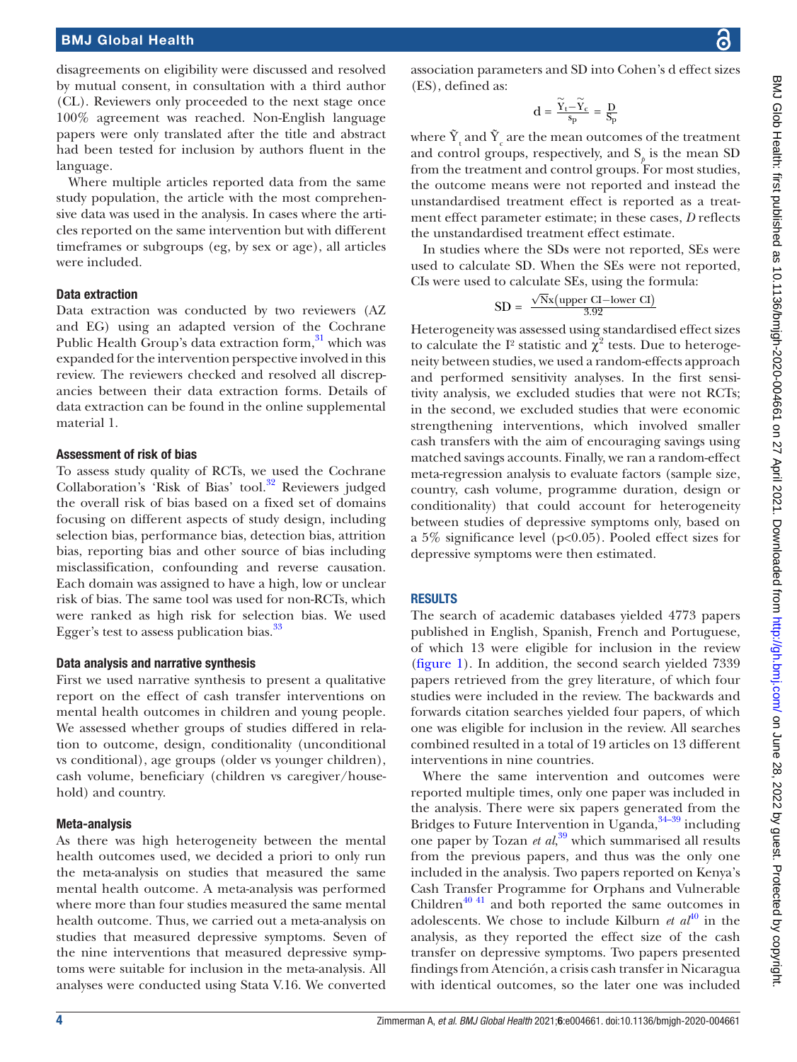disagreements on eligibility were discussed and resolved by mutual consent, in consultation with a third author (CL). Reviewers only proceeded to the next stage once 100% agreement was reached. Non-English language papers were only translated after the title and abstract had been tested for inclusion by authors fluent in the language.

Where multiple articles reported data from the same study population, the article with the most comprehensive data was used in the analysis. In cases where the articles reported on the same intervention but with different timeframes or subgroups (eg, by sex or age), all articles were included.

#### Data extraction

Data extraction was conducted by two reviewers (AZ and EG) using an adapted version of the Cochrane Public Health Group's data extraction form,<sup>[31](#page-15-5)</sup> which was expanded for the intervention perspective involved in this review. The reviewers checked and resolved all discrepancies between their data extraction forms. Details of data extraction can be found in the [online supplemental](https://dx.doi.org/10.1136/bmjgh-2020-004661)  [material 1.](https://dx.doi.org/10.1136/bmjgh-2020-004661)

# Assessment of risk of bias

To assess study quality of RCTs, we used the Cochrane Collaboration's 'Risk of Bias' tool.<sup>32</sup> Reviewers judged the overall risk of bias based on a fixed set of domains focusing on different aspects of study design, including selection bias, performance bias, detection bias, attrition bias, reporting bias and other source of bias including misclassification, confounding and reverse causation. Each domain was assigned to have a high, low or unclear risk of bias. The same tool was used for non-RCTs, which were ranked as high risk for selection bias. We used Egger's test to assess publication bias.<sup>33</sup>

#### Data analysis and narrative synthesis

First we used narrative synthesis to present a qualitative report on the effect of cash transfer interventions on mental health outcomes in children and young people. We assessed whether groups of studies differed in relation to outcome, design, conditionality (unconditional vs conditional), age groups (older vs younger children), cash volume, beneficiary (children vs caregiver/household) and country.

#### Meta-analysis

As there was high heterogeneity between the mental health outcomes used, we decided a priori to only run the meta-analysis on studies that measured the same mental health outcome. A meta-analysis was performed where more than four studies measured the same mental health outcome. Thus, we carried out a meta-analysis on studies that measured depressive symptoms. Seven of the nine interventions that measured depressive symptoms were suitable for inclusion in the meta-analysis. All analyses were conducted using Stata V.16. We converted

association parameters and SD into Cohen's d effect sizes (ES), defined as:

$$
d=\frac{\widetilde{Y}_t-\widetilde{Y}_c}{s_p}=\frac{D}{S_p}
$$

where  $\tilde{Y}_t$  and  $\tilde{Y}_c$  are the mean outcomes of the treatment and control groups, respectively, and  $S_p$  is the mean SD from the treatment and control groups. For most studies, the outcome means were not reported and instead the unstandardised treatment effect is reported as a treatment effect parameter estimate; in these cases, *D* reflects the unstandardised treatment effect estimate.

In studies where the SDs were not reported, SEs were used to calculate SD. When the SEs were not reported, CIs were used to calculate SEs, using the formula:

$$
SD = \frac{\sqrt{N}x(\text{upper CI}-\text{lower CI})}{3.92}
$$

Heterogeneity was assessed using standardised effect sizes to calculate the I<sup>2</sup> statistic and  $\chi^2$  tests. Due to heterogeneity between studies, we used a random-effects approach and performed sensitivity analyses. In the first sensitivity analysis, we excluded studies that were not RCTs; in the second, we excluded studies that were economic strengthening interventions, which involved smaller cash transfers with the aim of encouraging savings using matched savings accounts. Finally, we ran a random-effect meta-regression analysis to evaluate factors (sample size, country, cash volume, programme duration, design or conditionality) that could account for heterogeneity between studies of depressive symptoms only, based on a 5% significance level (p<0.05). Pooled effect sizes for depressive symptoms were then estimated.

#### **RESULTS**

The search of academic databases yielded 4773 papers published in English, Spanish, French and Portuguese, of which 13 were eligible for inclusion in the review [\(figure](#page-4-0) 1). In addition, the second search yielded 7339 papers retrieved from the grey literature, of which four studies were included in the review. The backwards and forwards citation searches yielded four papers, of which one was eligible for inclusion in the review. All searches combined resulted in a total of 19 articles on 13 different interventions in nine countries.

Where the same intervention and outcomes were reported multiple times, only one paper was included in the analysis. There were six papers generated from the Bridges to Future Intervention in Uganda,  $34-39$  including one paper by Tozan *et al*, [39](#page-15-9) which summarised all results from the previous papers, and thus was the only one included in the analysis. Two papers reported on Kenya's Cash Transfer Programme for Orphans and Vulnerable Children<sup>40 41</sup> and both reported the same outcomes in adolescents. We chose to include Kilburn  $et \ a l^{40}$  $et \ a l^{40}$  $et \ a l^{40}$  in the analysis, as they reported the effect size of the cash transfer on depressive symptoms. Two papers presented findings from Atención, a crisis cash transfer in Nicaragua with identical outcomes, so the later one was included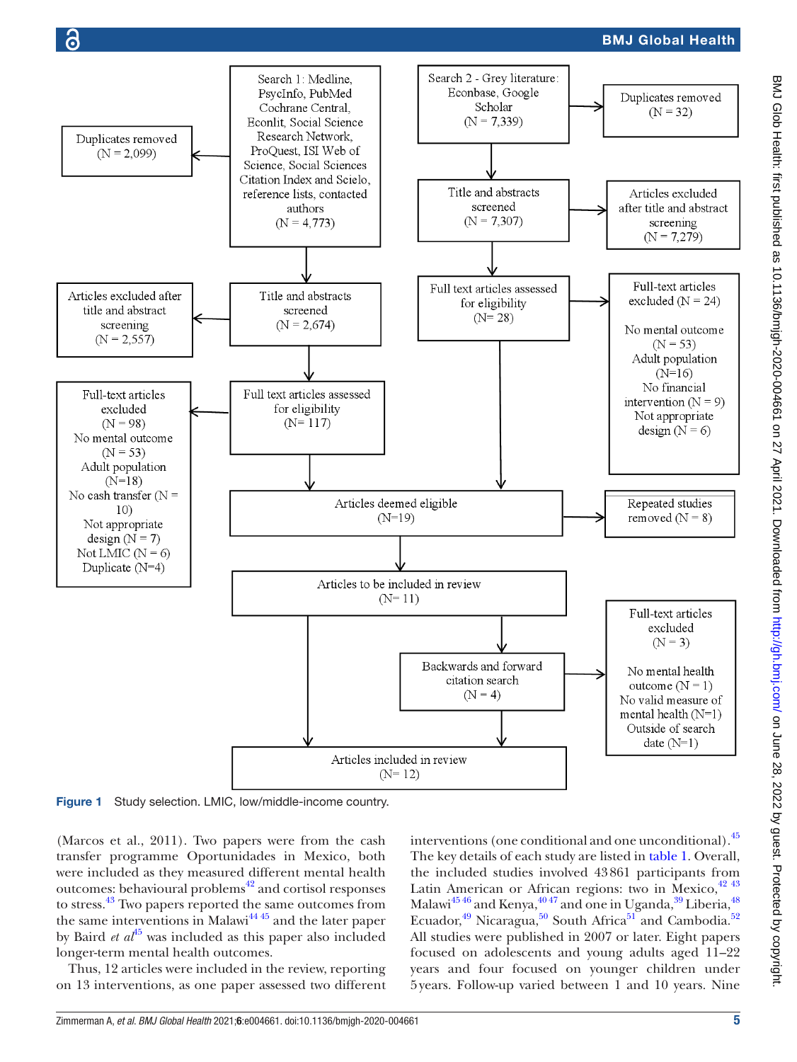

<span id="page-4-0"></span>Figure 1 Study selection. LMIC, low/middle-income country.

(Marcos et al., 2011). Two papers were from the cash transfer programme Oportunidades in Mexico, both were included as they measured different mental health outcomes: behavioural problems<sup>[42](#page-15-11)</sup> and cortisol responses to stress.[43](#page-15-12) Two papers reported the same outcomes from the same interventions in Malawi<sup>4445</sup> and the later paper by Baird *et al*[45](#page-15-14) was included as this paper also included longer-term mental health outcomes.

Thus, 12 articles were included in the review, reporting on 13 interventions, as one paper assessed two different interventions (one conditional and one unconditional)[.45](#page-15-14) The key details of each study are listed in [table](#page-5-0) 1. Overall, the included studies involved 43861 participants from Latin American or African regions: two in Mexico,  $42\frac{43}{13}$ Malawi $^{45\,46}$  and Kenya, $^{40\,47}$  and one in Uganda, $^{39}$  Liberia, $^{48}$ Ecuador,<sup>[49](#page-15-16)</sup> Nicaragua,<sup>50</sup> South Africa<sup>[51](#page-15-18)</sup> and Cambodia.<sup>52</sup> All studies were published in 2007 or later. Eight papers focused on adolescents and young adults aged 11–22 years and four focused on younger children under 5years. Follow-up varied between 1 and 10 years. Nine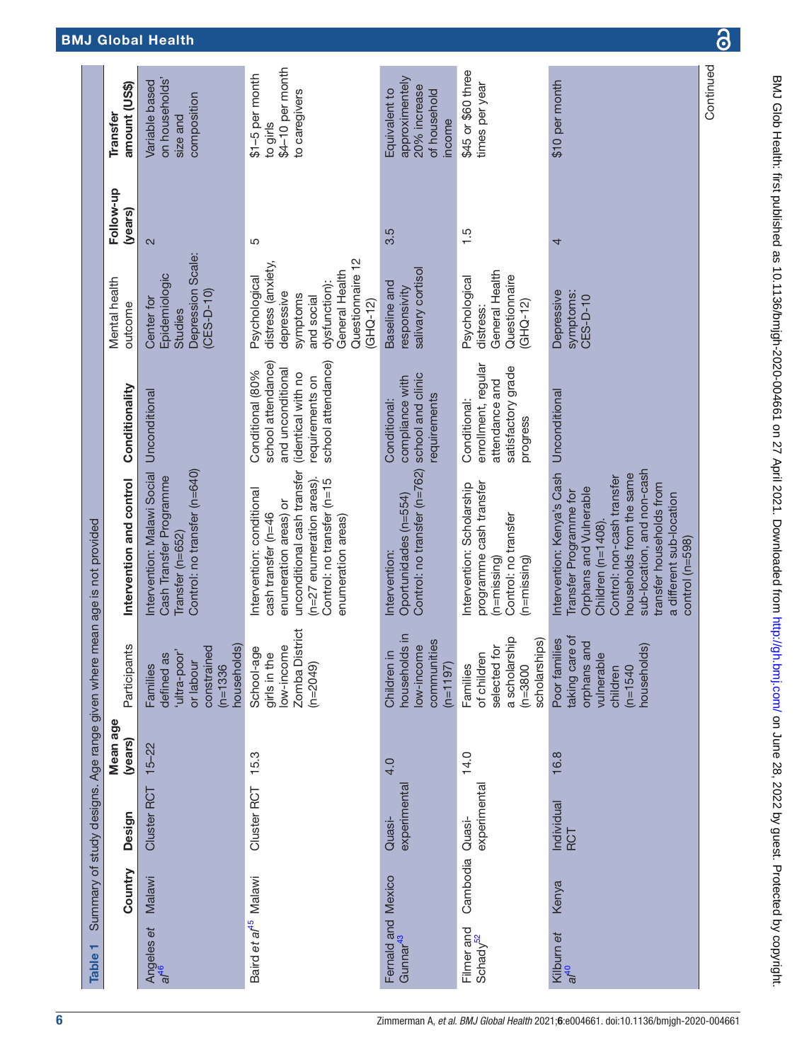<span id="page-5-0"></span>

| \$4-10 per month<br>\$45 or \$60 three<br>\$1-5 per month<br>approximentely<br>on households'<br>\$10 per month<br>amount (US\$)<br>Variable based<br>times per year<br>20% increase<br>Equivalent to<br>of household<br>to caregivers<br>composition<br>size and<br>income<br>to girls<br>(years)<br>3.5<br>1.5<br>5<br>4<br>2<br>Depression Scale:<br>Questionnaire 12<br>distress (anxiety,<br>salivary cortisol<br>General Health<br>General Health<br>Epidemiologic<br>Psychological<br>Questionnaire<br>Psychological<br>dysfunction):<br>Baseline and<br>responsivity<br>$(CES-D-10)$<br>Depressive<br>symptoms:<br>depressive<br>symptoms<br>CES-D-10<br>and social<br>Center for<br>$(GHQ-12)$<br>$(GHQ-12)$<br>outcome<br>distress:<br>Studies<br>school attendance)<br>school attendance)<br>enrollment, regular<br>satisfactory grade<br>and unconditional<br>Conditional (80%<br>(identical with no<br>school and clinic<br>requirements on<br>compliance with<br>attendance and<br>Conditionality<br>Unconditional<br>Unconditional<br>requirements<br>Conditional:<br>Conditional:<br>progress<br>Control: no transfer (n=762)<br>sub-location, and non-cash<br>Control: no transfer (n=640)<br>unconditional cash transfer<br>Intervention: Malawi Social<br>Intervention: Kenya's Cash<br>households from the same<br>Cash Transfer Programme<br>Control: non-cash transfer<br>(n=27 enumeration areas).<br>Intervention and control<br>Control: no transfer (n=15<br>programme cash transfer<br>Intervention: Scholarship<br>transfer households from<br>Orphans and Vulnerable<br>Intervention: conditional<br>Transfer Programme for<br>a different sub-location<br>Oportunidades (n=554)<br>enumeration areas) or<br>cash transfer (n=46<br>Control: no transfer<br>enumeration areas)<br>Children (n=1408).<br>Transfer (n=652)<br>control (n=598)<br>Intervention:<br>(n=missing)<br>$(n = m)$ ssing |                                                                                                                                                          |  | Summary of study designs. Age range given where mean age is not provided |               |           |          |
|-----------------------------------------------------------------------------------------------------------------------------------------------------------------------------------------------------------------------------------------------------------------------------------------------------------------------------------------------------------------------------------------------------------------------------------------------------------------------------------------------------------------------------------------------------------------------------------------------------------------------------------------------------------------------------------------------------------------------------------------------------------------------------------------------------------------------------------------------------------------------------------------------------------------------------------------------------------------------------------------------------------------------------------------------------------------------------------------------------------------------------------------------------------------------------------------------------------------------------------------------------------------------------------------------------------------------------------------------------------------------------------------------------------------------------------------------------------------------------------------------------------------------------------------------------------------------------------------------------------------------------------------------------------------------------------------------------------------------------------------------------------------------------------------------------------------------------------------------------------------------------------------------------------------------------|----------------------------------------------------------------------------------------------------------------------------------------------------------|--|--------------------------------------------------------------------------|---------------|-----------|----------|
|                                                                                                                                                                                                                                                                                                                                                                                                                                                                                                                                                                                                                                                                                                                                                                                                                                                                                                                                                                                                                                                                                                                                                                                                                                                                                                                                                                                                                                                                                                                                                                                                                                                                                                                                                                                                                                                                                                                             | Participants<br>Mean age<br>(years)<br>Design<br>Country                                                                                                 |  |                                                                          | Mental health | Follow-up | Transfer |
|                                                                                                                                                                                                                                                                                                                                                                                                                                                                                                                                                                                                                                                                                                                                                                                                                                                                                                                                                                                                                                                                                                                                                                                                                                                                                                                                                                                                                                                                                                                                                                                                                                                                                                                                                                                                                                                                                                                             | households)<br>constrained<br>'ultra-poor'<br>defined as<br>or labour<br>$(n=1336)$<br>Families<br>$15 - 22$<br>Cluster RCT<br>Malawi                    |  |                                                                          |               |           |          |
|                                                                                                                                                                                                                                                                                                                                                                                                                                                                                                                                                                                                                                                                                                                                                                                                                                                                                                                                                                                                                                                                                                                                                                                                                                                                                                                                                                                                                                                                                                                                                                                                                                                                                                                                                                                                                                                                                                                             | Zomba District<br>low-income<br>School-age<br>girls in the<br>$(n=2049)$<br>15.3<br>Cluster RCT<br>Baird et al <sup>45</sup> Malawi                      |  |                                                                          |               |           |          |
|                                                                                                                                                                                                                                                                                                                                                                                                                                                                                                                                                                                                                                                                                                                                                                                                                                                                                                                                                                                                                                                                                                                                                                                                                                                                                                                                                                                                                                                                                                                                                                                                                                                                                                                                                                                                                                                                                                                             | households in<br>communities<br>ow-income<br>⊒.<br>$(n=1197)$<br>Children<br>4.0<br>experimental<br>Quasi-<br>Fernald and Mexico<br>Gunnar <sup>43</sup> |  |                                                                          |               |           |          |
|                                                                                                                                                                                                                                                                                                                                                                                                                                                                                                                                                                                                                                                                                                                                                                                                                                                                                                                                                                                                                                                                                                                                                                                                                                                                                                                                                                                                                                                                                                                                                                                                                                                                                                                                                                                                                                                                                                                             | a scholarship<br>scholarships)<br>tor<br>of children<br>selected<br>$(n=3800)$<br>Families<br>14.0<br>experimental<br>Quasi-<br>Cambodia                 |  |                                                                          |               |           |          |
|                                                                                                                                                                                                                                                                                                                                                                                                                                                                                                                                                                                                                                                                                                                                                                                                                                                                                                                                                                                                                                                                                                                                                                                                                                                                                                                                                                                                                                                                                                                                                                                                                                                                                                                                                                                                                                                                                                                             | taking care of<br>Poor families<br>orphans and<br>households)<br>vulnerable<br>$(n=1540)$<br>children<br>16.8<br>Individual<br>RCT                       |  |                                                                          |               |           |          |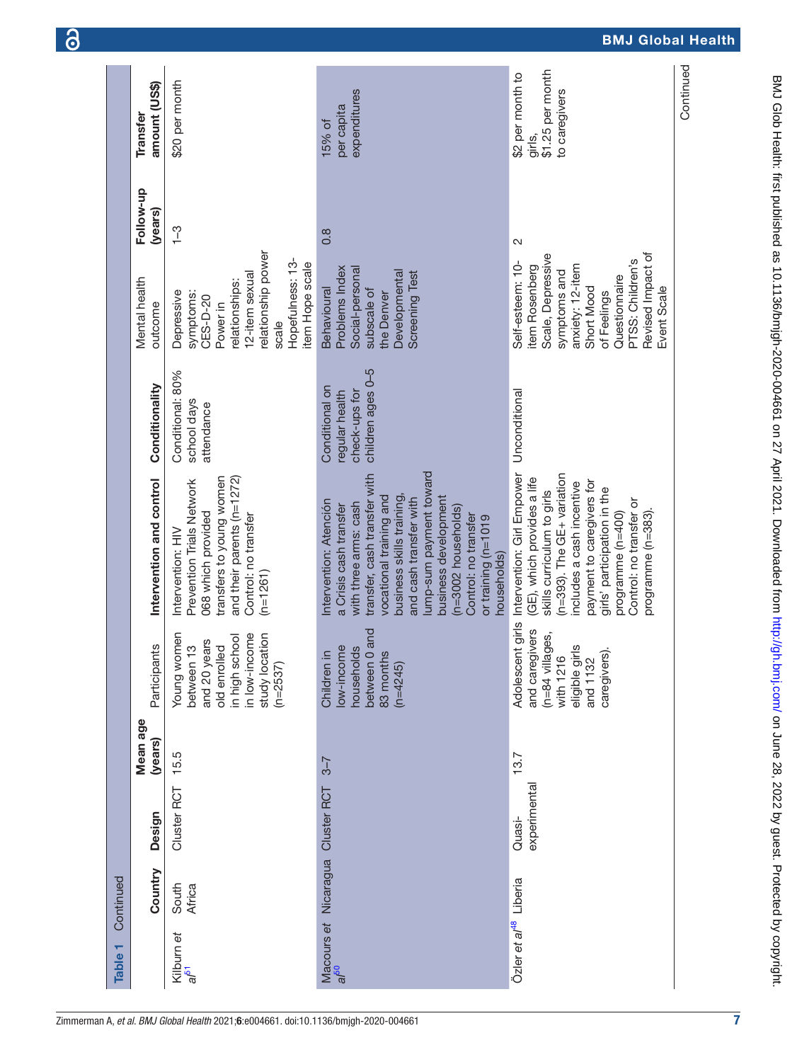| \$1.25 per month<br>\$2 per month to<br>\$20 per month<br>amount (US\$)<br>expenditures<br>to caregivers<br>per capita<br>15% of<br>girls,<br>(years)<br>$\frac{1}{1}$<br>$0.\overline{8}$<br>2<br>relationship power<br>Revised Impact of<br>Scale, Depressive<br>Hopefulness: 13-<br>PTSS: Children's<br>Self-esteem: 10-<br>item Hope scale<br>anxiety: 12-item<br>item Rosenberg<br>Problems Index<br>Social-personal<br>symptoms and<br>Developmental<br><b>Screening Test</b><br>12-item sexual<br>Questionnaire<br>relationships:<br>Short Mood<br>Event Scale<br>Behavioural<br>subscale of<br>Depressive<br>of Feelings<br>symptoms:<br>the Denver<br>CES-D-20<br>outcome<br>Power in<br>scale<br>children ages 0-5<br>Conditional: 80%<br>Conditionality<br>Conditional on<br>check-ups for<br>regular health<br>Unconditional<br>school days<br>attendance<br>lump-sum payment toward<br>Adolescent girls Intervention: Girl Empower<br>transfer, cash transfer with<br>(n=393). The GE+ variation<br>transfers to young women<br>and their parents ( $n=1272$ )<br>(GE), which provides a life<br>Intervention and control<br>Prevention Trials Network<br>payment to caregivers for<br>ncludes a cash incentive<br>girls' participation in the<br>skills curriculum to girls<br>ousiness skills training,<br>vocational training and<br>business development<br>and cash transfer with<br>Control: no transfer or<br>Intervention: Atención<br>with three arms: cash<br>a Crisis cash transfer<br>(n=3002 households)<br>068 which provided<br>programme (n=383)<br>programme (n=400)<br>Control: no transfer<br>Control: no transfer<br>or training (n=1019<br>Intervention: HIV<br>households)<br>$(n=1261)$ | Mean age<br>(years)                                                                                                                                        |
|-----------------------------------------------------------------------------------------------------------------------------------------------------------------------------------------------------------------------------------------------------------------------------------------------------------------------------------------------------------------------------------------------------------------------------------------------------------------------------------------------------------------------------------------------------------------------------------------------------------------------------------------------------------------------------------------------------------------------------------------------------------------------------------------------------------------------------------------------------------------------------------------------------------------------------------------------------------------------------------------------------------------------------------------------------------------------------------------------------------------------------------------------------------------------------------------------------------------------------------------------------------------------------------------------------------------------------------------------------------------------------------------------------------------------------------------------------------------------------------------------------------------------------------------------------------------------------------------------------------------------------------------------------------------------------------------------------------------------------|------------------------------------------------------------------------------------------------------------------------------------------------------------|
|                                                                                                                                                                                                                                                                                                                                                                                                                                                                                                                                                                                                                                                                                                                                                                                                                                                                                                                                                                                                                                                                                                                                                                                                                                                                                                                                                                                                                                                                                                                                                                                                                                                                                                                             | Young women<br>in low-income<br>study location<br>in high school<br>and 20 years<br>$\frac{1}{2}$<br>Participants<br>old enrolled<br>between<br>$(n=2537)$ |
|                                                                                                                                                                                                                                                                                                                                                                                                                                                                                                                                                                                                                                                                                                                                                                                                                                                                                                                                                                                                                                                                                                                                                                                                                                                                                                                                                                                                                                                                                                                                                                                                                                                                                                                             | between 0 and<br>households<br>low-income<br>Children in<br>83 months<br>$(n=4245)$                                                                        |
|                                                                                                                                                                                                                                                                                                                                                                                                                                                                                                                                                                                                                                                                                                                                                                                                                                                                                                                                                                                                                                                                                                                                                                                                                                                                                                                                                                                                                                                                                                                                                                                                                                                                                                                             | and caregivers<br>(n=84 villages,<br>eligible girls<br>caregivers).<br>with 1216<br>and 1132                                                               |

7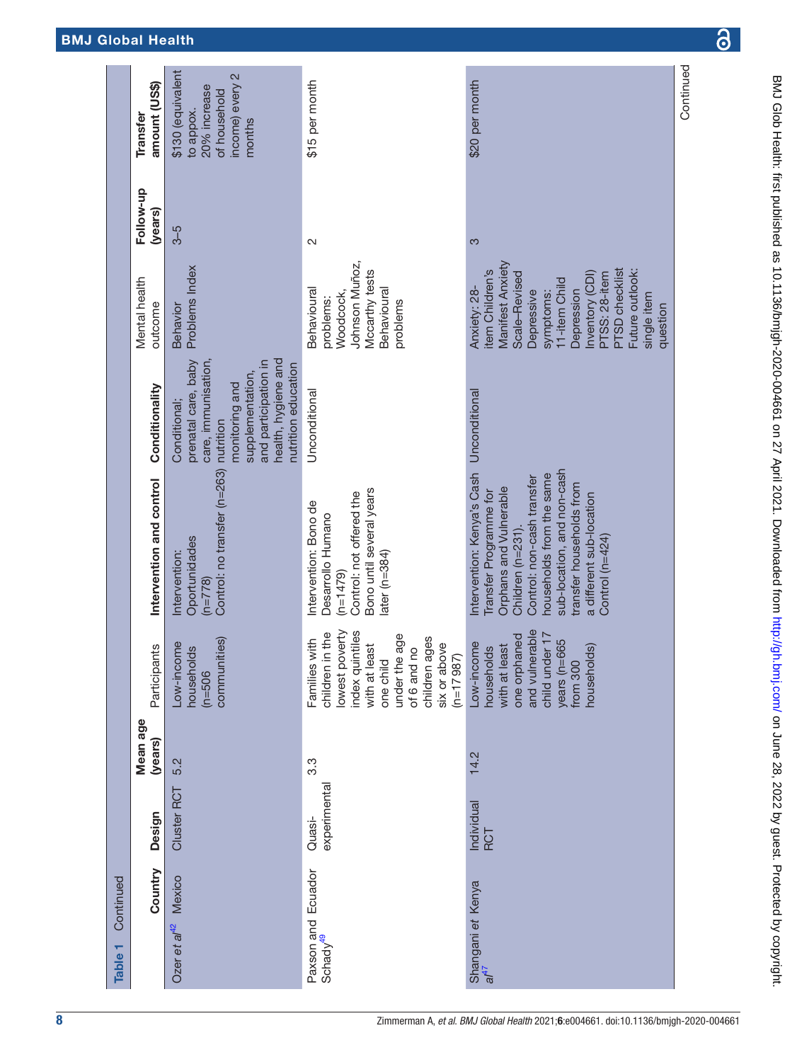| Continued<br>Table 1                       |                          |                     |                                                                                                                                                                                        |                                                                                                                                                                                                                                                                        |                                                                                                                                                                                     |                                                                                                                                                                                                                                          |                      |                                                                                             |
|--------------------------------------------|--------------------------|---------------------|----------------------------------------------------------------------------------------------------------------------------------------------------------------------------------------|------------------------------------------------------------------------------------------------------------------------------------------------------------------------------------------------------------------------------------------------------------------------|-------------------------------------------------------------------------------------------------------------------------------------------------------------------------------------|------------------------------------------------------------------------------------------------------------------------------------------------------------------------------------------------------------------------------------------|----------------------|---------------------------------------------------------------------------------------------|
| Country                                    | Design                   | Mean age<br>(years) | Participants                                                                                                                                                                           | Intervention and control                                                                                                                                                                                                                                               | Conditionality                                                                                                                                                                      | Mental health<br>outcome                                                                                                                                                                                                                 | Follow-up<br>(years) | amount (US\$)<br>Transfer                                                                   |
| Ozer et al <sup>42</sup> Mexico            | Cluster RCT              | 5.2                 | communities)<br>ne<br>$\overline{\omega}$<br>household<br>Low-incor<br>$(m=506)$                                                                                                       | Control: no transfer (n=263)<br>Oportunidades<br>Intervention:<br>$(n=778)$                                                                                                                                                                                            | health, hygiene and<br>prenatal care, baby<br>care, immunisation,<br>and participation in<br>nutrition education<br>supplementation,<br>monitoring and<br>Conditional;<br>nutrition | Problems Index<br>Behavior                                                                                                                                                                                                               | $3-5$                | \$130 (equivalent<br>income) every 2<br>20% increase<br>of household<br>to appox.<br>months |
| Paxson and Ecuador<br>Schady <sup>49</sup> | experimental<br>Quasi-   | 3.3                 | lowest poverty<br>index quintiles<br>the<br>under the age<br>children ages<br>Families with<br>six or above<br>with at least<br>of 6 and no<br>children in<br>$(n=17987)$<br>one child | Bono until several years<br>Control: not offered the<br>Intervention: Bono de<br>Desarrollo Humano<br>ater ( $n=384$ )<br>$(n=1479)$                                                                                                                                   | Unconditional                                                                                                                                                                       | Johnson Muñoz,<br>Mccarthy tests<br>Behavioural<br>Behavioural<br>Woodcock,<br>problems:<br>problems                                                                                                                                     | $\sim$               | \$15 per month                                                                              |
| Shangani et Kenya<br>$a^{47}$              | Individual<br><b>RCT</b> | 14.2                | and vulnerable<br>child under 17<br>one orphaned<br>65<br>Low-income<br>with at least<br>households<br>households)<br>years (n=6<br>from 300                                           | sub-location, and non-cash<br>Intervention: Kenya's Cash<br>households from the same<br>Control: non-cash transfer<br>transfer households from<br>Orphans and Vulnerable<br>Transfer Programme for<br>a different sub-location<br>Children (n=231).<br>Control (n=424) | Unconditional                                                                                                                                                                       | Manifest Anxiety<br><b>PTSD</b> checklist<br>item Children's<br>Future outlook:<br>nventory (CDI)<br>Scale-Revised<br>PTSS: 28-item<br>11-item Child<br>Anxiety: 28-<br>Depression<br>Depressive<br>symptoms:<br>single item<br>question | 3                    | \$20 per month                                                                              |
|                                            |                          |                     |                                                                                                                                                                                        |                                                                                                                                                                                                                                                                        |                                                                                                                                                                                     |                                                                                                                                                                                                                                          |                      | Continued                                                                                   |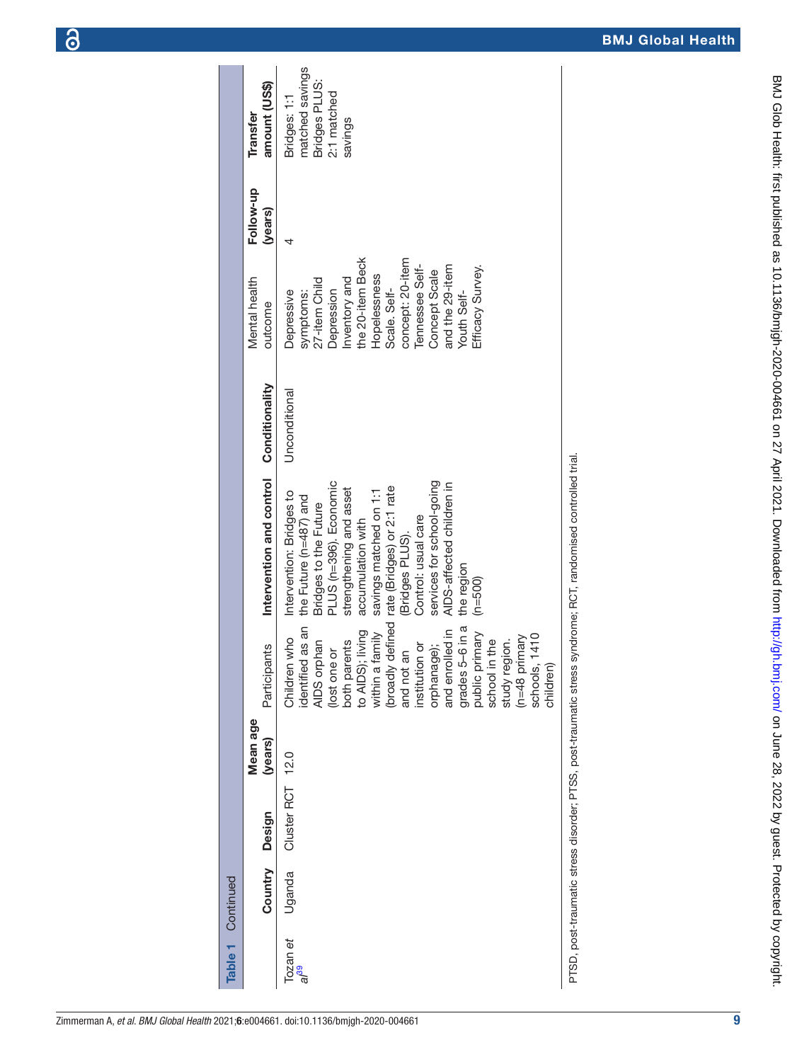PTSD, post-traumatic stress disorder; PTSS, post-traumatic stress syndrome; RCT, randomised controlled trial. PTSD, post-traumatic stress disorder; PTSS, post-traumatic stress syndrome; RCT, randomised controlled trial.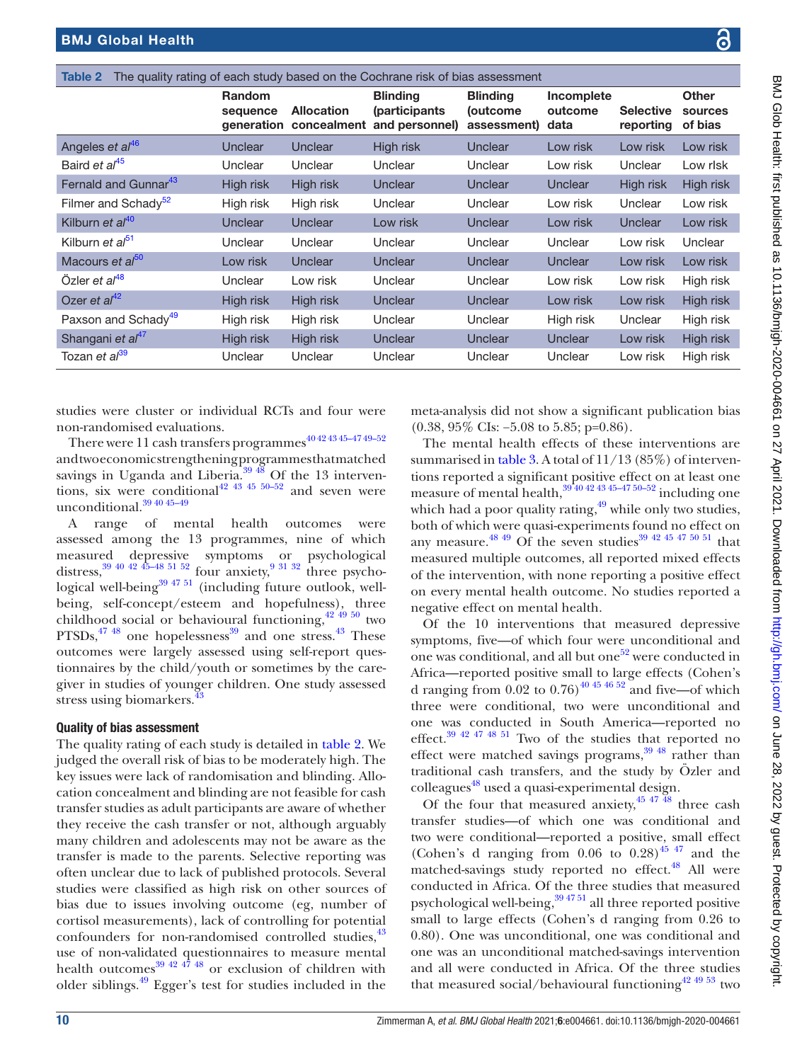<span id="page-9-0"></span>

| The quality rating of each study based on the Cochrane risk of bias assessment<br>Table 2 |                                         |                                  |                                                    |                                            |                               |                               |                                    |
|-------------------------------------------------------------------------------------------|-----------------------------------------|----------------------------------|----------------------------------------------------|--------------------------------------------|-------------------------------|-------------------------------|------------------------------------|
|                                                                                           | <b>Random</b><br>sequence<br>generation | <b>Allocation</b><br>concealment | <b>Blinding</b><br>(participants<br>and personnel) | <b>Blinding</b><br>(outcome<br>assessment) | Incomplete<br>outcome<br>data | <b>Selective</b><br>reporting | <b>Other</b><br>sources<br>of bias |
| Angeles et al <sup>46</sup>                                                               | Unclear                                 | Unclear                          | High risk                                          | Unclear                                    | Low risk                      | Low risk                      | Low risk                           |
| Baird et al <sup>45</sup>                                                                 | Unclear                                 | Unclear                          | Unclear                                            | Unclear                                    | Low risk                      | Unclear                       | Low risk                           |
| Fernald and Gunnar <sup>43</sup>                                                          | High risk                               | High risk                        | Unclear                                            | Unclear                                    | Unclear                       | High risk                     | High risk                          |
| Filmer and Schady <sup>52</sup>                                                           | High risk                               | High risk                        | Unclear                                            | Unclear                                    | Low risk                      | Unclear                       | Low risk                           |
| Kilburn et al <sup>40</sup>                                                               | Unclear                                 | Unclear                          | Low risk                                           | Unclear                                    | Low risk                      | <b>Unclear</b>                | Low risk                           |
| Kilburn et al <sup>51</sup>                                                               | Unclear                                 | Unclear                          | Unclear                                            | Unclear                                    | Unclear                       | Low risk                      | Unclear                            |
| Macours et al <sup>50</sup>                                                               | Low risk                                | Unclear                          | Unclear                                            | Unclear                                    | <b>Unclear</b>                | Low risk                      | Low risk                           |
| Özler et $a^{48}$                                                                         | Unclear                                 | Low risk                         | Unclear                                            | Unclear                                    | Low risk                      | Low risk                      | High risk                          |
| Ozer et $al^{42}$                                                                         | High risk                               | High risk                        | Unclear                                            | Unclear                                    | Low risk                      | Low risk                      | High risk                          |
| Paxson and Schady <sup>49</sup>                                                           | High risk                               | High risk                        | Unclear                                            | Unclear                                    | High risk                     | Unclear                       | High risk                          |
| Shangani et al <sup>47</sup>                                                              | High risk                               | High risk                        | Unclear                                            | Unclear                                    | Unclear                       | Low risk                      | High risk                          |
| Tozan et al <sup>39</sup>                                                                 | Unclear                                 | Unclear                          | Unclear                                            | Unclear                                    | Unclear                       | Low risk                      | High risk                          |

studies were cluster or individual RCTs and four were non-randomised evaluations.

There were  $11$  cash transfers programmes<sup>40 42 43 45-47 49-52</sup> and two economic strengthening programmes that matched savings in Uganda and Liberia. $39\frac{48}{18}$  Of the 13 interventions, six were conditional<sup>42 43 45 50–52</sup> and seven were unconditional. $39\overline{40}\overline{45}$ -49

A range of mental health outcomes were assessed among the 13 programmes, nine of which measured depressive symptoms or psychological distress,  $39$  40 42 45–48 51 52 four anxiety,  $9$  31 32 three psychological well-being $39\frac{4751}{10}$  (including future outlook, wellbeing, self-concept/esteem and hopefulness), three childhood social or behavioural functioning, $42\frac{49}{19}$  two  $PTSDs$ ,  $4748$  one hopelessness<sup>[39](#page-15-9)</sup> and one stress.  $43$  These outcomes were largely assessed using self-report questionnaires by the child/youth or sometimes by the caregiver in studies of younger children. One study assessed stress using biomarkers.<sup>[43](#page-15-12)</sup>

# Quality of bias assessment

The quality rating of each study is detailed in [table](#page-9-0) 2. We judged the overall risk of bias to be moderately high. The key issues were lack of randomisation and blinding. Allocation concealment and blinding are not feasible for cash transfer studies as adult participants are aware of whether they receive the cash transfer or not, although arguably many children and adolescents may not be aware as the transfer is made to the parents. Selective reporting was often unclear due to lack of published protocols. Several studies were classified as high risk on other sources of bias due to issues involving outcome (eg, number of cortisol measurements), lack of controlling for potential confounders for non-randomised controlled studies,  $43$ use of non-validated questionnaires to measure mental health outcomes<sup>[39 42 47 48](#page-15-9)</sup> or exclusion of children with older siblings[.49](#page-15-16) Egger's test for studies included in the

meta-analysis did not show a significant publication bias (0.38, 95% CIs: −5.08 to 5.85; p=0.86).

The mental health effects of these interventions are summarised in [table](#page-10-0) 3. A total of 11/13 (85%) of interventions reported a significant positive effect on at least one measure of mental health, $39\frac{40424345-4750-52}{100}$  including one which had a poor quality rating, $49$  while only two studies, both of which were quasi-experiments found no effect on any measure.<sup>48 49</sup> Of the seven studies<sup>39 42 45 47 50 51</sup> that measured multiple outcomes, all reported mixed effects of the intervention, with none reporting a positive effect on every mental health outcome. No studies reported a negative effect on mental health.

Of the 10 interventions that measured depressive symptoms, five—of which four were unconditional and one was conditional, and all but one<sup>52</sup> were conducted in Africa—reported positive small to large effects (Cohen's d ranging from  $0.02$  to  $0.76$ <sup>40 45 46 52</sup> and five—of which three were conditional, two were unconditional and one was conducted in South America—reported no effect.[39 42 47 48 51](#page-15-9) Two of the studies that reported no effect were matched savings programs, $39\frac{48}{12}$  rather than traditional cash transfers, and the study by Özler and colleagues<sup>48</sup> used a quasi-experimental design.

Of the four that measured anxiety,  $45 \frac{47 \frac{48}{18}}{4}$  three cash transfer studies—of which one was conditional and two were conditional—reported a positive, small effect (Cohen's d ranging from  $0.06$  to  $0.28$ )<sup>45 47</sup> and the matched-savings study reported no effect.<sup>48</sup> All were conducted in Africa. Of the three studies that measured psychological well-being, $394751$  all three reported positive small to large effects (Cohen's d ranging from 0.26 to 0.80). One was unconditional, one was conditional and one was an unconditional matched-savings intervention and all were conducted in Africa. Of the three studies that measured social/behavioural functioning<sup>42 49 53</sup> two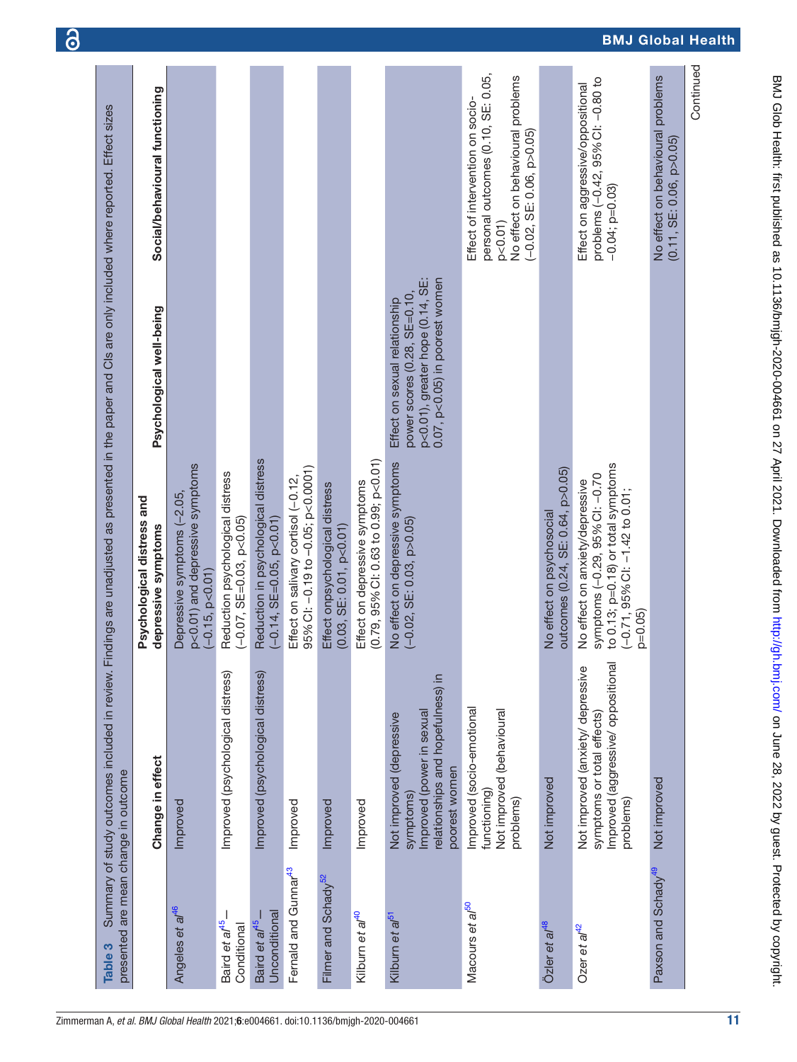<span id="page-10-0"></span>

|                                            |                                                                                                                          | Psychological distress and                                                                                                                                 |                                                                                                                                             |                                                                                                                                                          |
|--------------------------------------------|--------------------------------------------------------------------------------------------------------------------------|------------------------------------------------------------------------------------------------------------------------------------------------------------|---------------------------------------------------------------------------------------------------------------------------------------------|----------------------------------------------------------------------------------------------------------------------------------------------------------|
|                                            | Change in effect                                                                                                         | depressive symptoms                                                                                                                                        | Psychological well-being                                                                                                                    | Social/behavioural functioning                                                                                                                           |
| Angeles et al <sup>46</sup>                | Improved                                                                                                                 | p<0.01) and depressive symptoms<br>Depressive symptoms (-2.05,<br>$(-0.15, p<0.01)$                                                                        |                                                                                                                                             |                                                                                                                                                          |
| Baird et al <sup>45</sup><br>Conditional   | Improved (psychological distress)                                                                                        | Reduction psychological distress<br>$(-0.07, SE=0.03, p<0.05)$                                                                                             |                                                                                                                                             |                                                                                                                                                          |
| Unconditional<br>Baird et al <sup>45</sup> | Improved (psychological distress)                                                                                        | Reduction in psychological distress<br>$(-0.14, SE=0.05, p<0.01)$                                                                                          |                                                                                                                                             |                                                                                                                                                          |
| Fernald and Gunnar <sup>43</sup>           | Improved                                                                                                                 | 95% CI: -0.19 to -0.05; p<0.0001)<br>Effect on salivary cortisol (-0.12,                                                                                   |                                                                                                                                             |                                                                                                                                                          |
| Filmer and Schady <sup>52</sup>            | Improved                                                                                                                 | Effect onpsychological distress<br>(0.03, SE: 0.01, p<0.01)                                                                                                |                                                                                                                                             |                                                                                                                                                          |
| Kilburn et al <sup>40</sup>                | Improved                                                                                                                 | $(0.79, 95\%$ CI: 0.63 to 0.99; p<0.01)<br>Effect on depressive symptoms                                                                                   |                                                                                                                                             |                                                                                                                                                          |
| Kilburn et a/ <sup>51</sup>                | relationships and hopefulness) in<br>Improved (power in sexual<br>Not improved (depressive<br>poorest women<br>symptoms) | No effect on depressive symptoms<br>$(-0.02, SE: 0.03, p > 0.05)$                                                                                          | $0.07$ , $p<0.05$ ) in poorest women<br>p<0.01), greater hope (0.14, SE:<br>power scores $(0.28, SE=0.10,$<br>Effect on sexual relationship |                                                                                                                                                          |
| Macours et al <sup>50</sup>                | Improved (socio-emotional<br>Not improved (behavioural<br>functioning)<br>problems)                                      |                                                                                                                                                            |                                                                                                                                             | personal outcomes (0.10, SE: 0.05,<br>No effect on behavioural problems<br>Effect of intervention on socio-<br>$(-0.02, SE: 0.06, p > 0.05)$<br>p < 0.01 |
| Özler et al <sup>48</sup>                  | Not improved                                                                                                             | outcomes (0.24, SE: 0.64, p>0.05)<br>No effect on psychosocial                                                                                             |                                                                                                                                             |                                                                                                                                                          |
| Ozer et a $t^2$                            | Improved (aggressive/ oppositional<br>Not improved (anxiety/ depressive<br>symptoms or total effects)<br>problems)       | to 0.13; p=0.18) or total symptoms<br>symptoms (-0.29, 95% CI: -0.70<br>No effect on anxiety/depressive<br>$(-0.71, 95\%$ Cl: $-1.42$ to 0.01;<br>$p=0.05$ |                                                                                                                                             | problems (-0.42, 95% CI: -0.80 to<br>Effect on aggressive/oppositional<br>$-0.04;$ $p=0.03$                                                              |
| Paxson and Schady <sup>49</sup>            | Not improved                                                                                                             |                                                                                                                                                            |                                                                                                                                             | No effect on behavioural problems<br>(0.11, SE: 0.06, p>0.05)                                                                                            |

6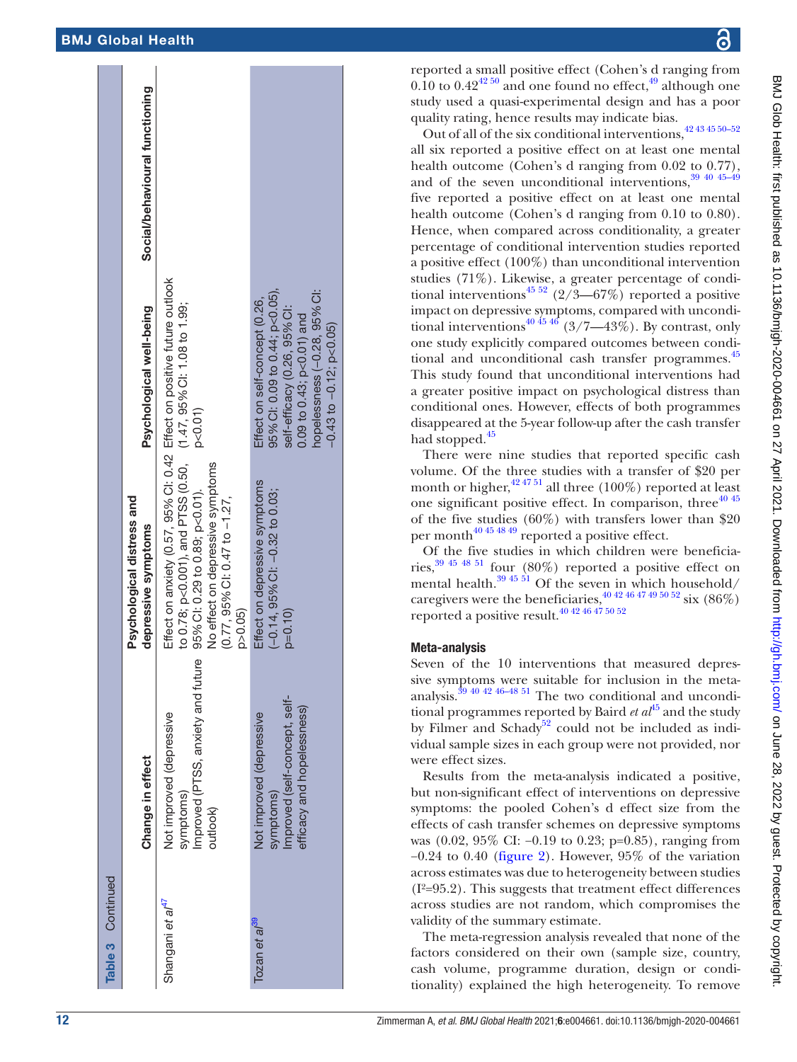| <b>Table 3</b> Continued     |                                                                                                      |                                                                                                                                                                                                                                                                     |                                                                                                                                                                                                 |                                |
|------------------------------|------------------------------------------------------------------------------------------------------|---------------------------------------------------------------------------------------------------------------------------------------------------------------------------------------------------------------------------------------------------------------------|-------------------------------------------------------------------------------------------------------------------------------------------------------------------------------------------------|--------------------------------|
|                              | Change in effect                                                                                     | Psychological distress and<br>depressive symptoms                                                                                                                                                                                                                   | Psychological well-being                                                                                                                                                                        | Social/behavioural functioning |
| Shangani et al <sup>41</sup> | Improved (PTSS, anxiety and future<br>Not improved (depressive<br>symptoms)<br>putlook)              | Effect on anxiety (0.57, 95% CI: 0.42 Effect on positive future outlook<br>to 0.78; p<0.001), and PTSS (0.50, (1.47, 95% C1: 1.08 to 1.99;<br>No effect on depressive symptoms<br>95% CI: 0.29 to 0.89; p<0.01).<br>$(0.77, 95\%$ CI: 0.47 to $-1.27$ ,<br>p > 0.05 | p < 0.01                                                                                                                                                                                        |                                |
| Tozan et al <sup>39</sup>    | Improved (self-concept, self-<br>efficacy and hopelessness)<br>Not improved (depressive<br>symptoms) | Effect on depressive symptoms<br>$(-0.14, 95\%$ Cl: $-0.32$ to 0.03;<br>$p = 0.10$                                                                                                                                                                                  | 95% CI: 0.09 to 0.44; p<0.05),<br>hopelessness (-0.28, 95% Cl:<br>Effect on self-concept (0.26,<br>self-efficacy (0.26, 95% CI:<br>0.09 to 0.43; $p<0.01$ ) and<br>$-0.43$ to $-0.12$ ; p<0.05) |                                |
|                              |                                                                                                      |                                                                                                                                                                                                                                                                     |                                                                                                                                                                                                 |                                |

reported a small positive effect (Cohen's d ranging from  $0.10$  to  $0.42^{42\,50}$  and one found no effect,  $49$  although one study used a quasi-experimental design and has a poor quality rating, hence results may indicate bias.

Out of all of the six conditional interventions,  $42434550-52$ all six reported a positive effect on at least one mental health outcome (Cohen's d ranging from 0.02 to 0.77), and of the seven unconditional interventions,  $39\frac{4045-49}{45}$ five reported a positive effect on at least one mental health outcome (Cohen's d ranging from 0.10 to 0.80). Hence, when compared across conditionality, a greater percentage of conditional intervention studies reported a positive effect (100%) than unconditional intervention studies (71%). Likewise, a greater percentage of condi-tional interventions<sup>[45 52](#page-15-14)</sup> (2/3–67%) reported a positive impact on depressive symptoms, compared with unconditional interventions<sup>40 45 46</sup> (3/7—43%). By contrast, only one study explicitly compared outcomes between condi-tional and unconditional cash transfer programmes.<sup>[45](#page-15-14)</sup> This study found that unconditional interventions had a greater positive impact on psychological distress than conditional ones. However, effects of both programmes disappeared at the 5-year follow-up after the cash transfer had stopped.<sup>[45](#page-15-14)</sup>

There were nine studies that reported specific cash volume. Of the three studies with a transfer of \$20 per month or higher,  $42\frac{4751}{12}$  all three (100%) reported at least one significant positive effect. In comparison, three $40.45$ of the five studies (60%) with transfers lower than \$20 per month<sup>40 45 48 49</sup> reported a positive effect.

Of the five studies in which children were beneficiaries[,39 45 48 51](#page-15-9) four (80%) reported a positive effect on mental health.<sup>39 45 51</sup> Of the seven in which household/ caregivers were the beneficiaries,  $\frac{40424647495052}{38}$  six (86%) reported a positive result.[40 42 46 47 50 52](#page-15-10)

# Meta-analysis

Seven of the 10 interventions that measured depressive symptoms were suitable for inclusion in the metaanalysis[.39 40 42 46–48 51](#page-15-9) The two conditional and unconditional programmes reported by Baird *et al*<sup>[45](#page-15-14)</sup> and the study by Filmer and Schady<sup>52</sup> could not be included as individual sample sizes in each group were not provided, nor were effect sizes.

Results from the meta-analysis indicated a positive, but non-significant effect of interventions on depressive symptoms: the pooled Cohen's d effect size from the effects of cash transfer schemes on depressive symptoms was (0.02, 95% CI: −0.19 to 0.23; p=0.85), ranging from −0.24 to 0.40 ([figure](#page-12-0) 2). However, 95% of the variation across estimates was due to heterogeneity between studies (I²=95.2). This suggests that treatment effect differences across studies are not random, which compromises the validity of the summary estimate.

The meta-regression analysis revealed that none of the factors considered on their own (sample size, country, cash volume, programme duration, design or conditionality) explained the high heterogeneity. To remove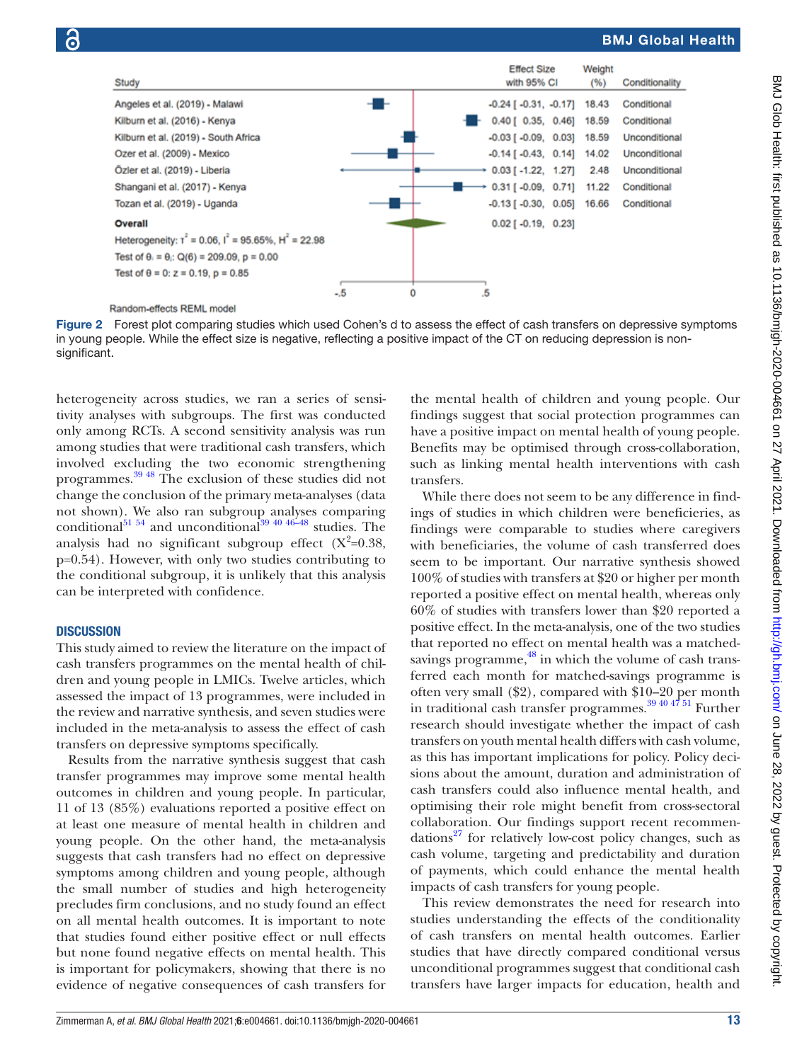

#### <span id="page-12-0"></span>Random-effects REML model

Figure 2 Forest plot comparing studies which used Cohen's d to assess the effect of cash transfers on depressive symptoms in young people. While the effect size is negative, reflecting a positive impact of the CT on reducing depression is nonsignificant.

heterogeneity across studies, we ran a series of sensitivity analyses with subgroups. The first was conducted only among RCTs. A second sensitivity analysis was run among studies that were traditional cash transfers, which involved excluding the two economic strengthening programmes. [39 48](#page-15-9) The exclusion of these studies did not change the conclusion of the primary meta-analyses (data not shown). We also ran subgroup analyses comparing conditional<sup>[51 54](#page-15-18)</sup> and unconditional<sup>39 40 46–48</sup> studies. The analysis had no significant subgroup effect  $(X^2=0.38,$ p=0.54). However, with only two studies contributing to the conditional subgroup, it is unlikely that this analysis can be interpreted with confidence.

#### **DISCUSSION**

This study aimed to review the literature on the impact of cash transfers programmes on the mental health of children and young people in LMICs. Twelve articles, which assessed the impact of 13 programmes, were included in the review and narrative synthesis, and seven studies were included in the meta-analysis to assess the effect of cash transfers on depressive symptoms specifically.

Results from the narrative synthesis suggest that cash transfer programmes may improve some mental health outcomes in children and young people. In particular, 11 of 13 (85%) evaluations reported a positive effect on at least one measure of mental health in children and young people. On the other hand, the meta-analysis suggests that cash transfers had no effect on depressive symptoms among children and young people, although the small number of studies and high heterogeneity precludes firm conclusions, and no study found an effect on all mental health outcomes. It is important to note that studies found either positive effect or null effects but none found negative effects on mental health. This is important for policymakers, showing that there is no evidence of negative consequences of cash transfers for

the mental health of children and young people. Our findings suggest that social protection programmes can have a positive impact on mental health of young people. Benefits may be optimised through cross-collaboration, such as linking mental health interventions with cash transfers.

While there does not seem to be any difference in findings of studies in which children were beneficieries, as findings were comparable to studies where caregivers with beneficiaries, the volume of cash transferred does seem to be important. Our narrative synthesis showed 100% of studies with transfers at \$20 or higher per month reported a positive effect on mental health, whereas only 60% of studies with transfers lower than \$20 reported a positive effect. In the meta-analysis, one of the two studies that reported no effect on mental health was a matchedsavings programme, $^{48}$  in which the volume of cash transferred each month for matched-savings programme is often very small (\$2), compared with \$10–20 per month in traditional cash transfer programmes. $\frac{39404751}{8}$  Further research should investigate whether the impact of cash transfers on youth mental health differs with cash volume, as this has important implications for policy. Policy decisions about the amount, duration and administration of cash transfers could also influence mental health, and optimising their role might benefit from cross-sectoral collaboration. Our findings support recent recommendations<sup>27</sup> for relatively low-cost policy changes, such as cash volume, targeting and predictability and duration of payments, which could enhance the mental health impacts of cash transfers for young people.

This review demonstrates the need for research into studies understanding the effects of the conditionality of cash transfers on mental health outcomes. Earlier studies that have directly compared conditional versus unconditional programmes suggest that conditional cash transfers have larger impacts for education, health and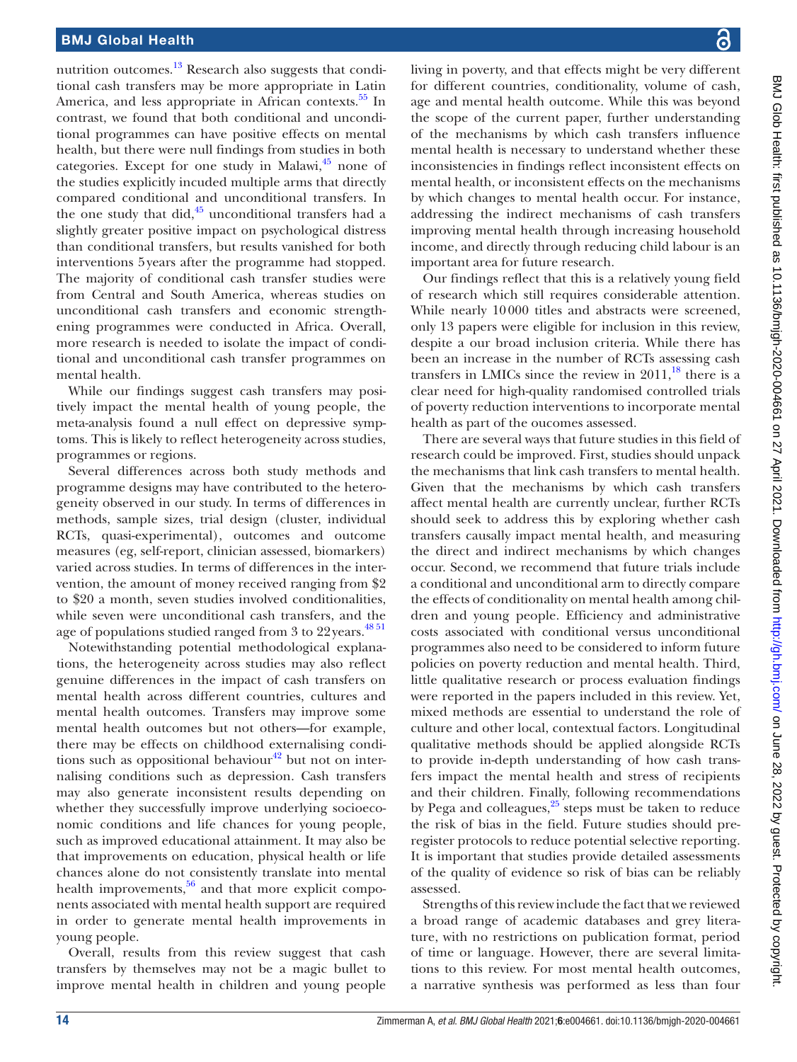nutrition outcomes.<sup>13</sup> Research also suggests that conditional cash transfers may be more appropriate in Latin America, and less appropriate in African contexts.<sup>55</sup> In contrast, we found that both conditional and unconditional programmes can have positive effects on mental health, but there were null findings from studies in both categories. Except for one study in Malawi, $45$  none of the studies explicitly incuded multiple arms that directly compared conditional and unconditional transfers. In the one study that did, $45 \text{ unconditional transfers had a}$  $45 \text{ unconditional transfers had a}$ slightly greater positive impact on psychological distress than conditional transfers, but results vanished for both interventions 5years after the programme had stopped. The majority of conditional cash transfer studies were from Central and South America, whereas studies on unconditional cash transfers and economic strengthening programmes were conducted in Africa. Overall, more research is needed to isolate the impact of conditional and unconditional cash transfer programmes on mental health.

While our findings suggest cash transfers may positively impact the mental health of young people, the meta-analysis found a null effect on depressive symptoms. This is likely to reflect heterogeneity across studies, programmes or regions.

Several differences across both study methods and programme designs may have contributed to the heterogeneity observed in our study. In terms of differences in methods, sample sizes, trial design (cluster, individual RCTs, quasi-experimental), outcomes and outcome measures (eg, self-report, clinician assessed, biomarkers) varied across studies. In terms of differences in the intervention, the amount of money received ranging from \$2 to \$20 a month, seven studies involved conditionalities, while seven were unconditional cash transfers, and the age of populations studied ranged from 3 to 22 years.<sup>[48 51](#page-15-15)</sup>

Notewithstanding potential methodological explanations, the heterogeneity across studies may also reflect genuine differences in the impact of cash transfers on mental health across different countries, cultures and mental health outcomes. Transfers may improve some mental health outcomes but not others—for example, there may be effects on childhood externalising conditions such as oppositional behaviour $42$  but not on internalising conditions such as depression. Cash transfers may also generate inconsistent results depending on whether they successfully improve underlying socioeconomic conditions and life chances for young people, such as improved educational attainment. It may also be that improvements on education, physical health or life chances alone do not consistently translate into mental health improvements, $56$  and that more explicit components associated with mental health support are required in order to generate mental health improvements in young people.

Overall, results from this review suggest that cash transfers by themselves may not be a magic bullet to improve mental health in children and young people living in poverty, and that effects might be very different for different countries, conditionality, volume of cash, age and mental health outcome. While this was beyond the scope of the current paper, further understanding of the mechanisms by which cash transfers influence mental health is necessary to understand whether these inconsistencies in findings reflect inconsistent effects on mental health, or inconsistent effects on the mechanisms by which changes to mental health occur. For instance, addressing the indirect mechanisms of cash transfers improving mental health through increasing household income, and directly through reducing child labour is an important area for future research.

Our findings reflect that this is a relatively young field of research which still requires considerable attention. While nearly 10000 titles and abstracts were screened, only 13 papers were eligible for inclusion in this review, despite a our broad inclusion criteria. While there has been an increase in the number of RCTs assessing cash transfers in LMICs since the review in  $2011$ ,<sup>18</sup> there is a clear need for high-quality randomised controlled trials of poverty reduction interventions to incorporate mental health as part of the oucomes assessed.

There are several ways that future studies in this field of research could be improved. First, studies should unpack the mechanisms that link cash transfers to mental health. Given that the mechanisms by which cash transfers affect mental health are currently unclear, further RCTs should seek to address this by exploring whether cash transfers causally impact mental health, and measuring the direct and indirect mechanisms by which changes occur. Second, we recommend that future trials include a conditional and unconditional arm to directly compare the effects of conditionality on mental health among children and young people. Efficiency and administrative costs associated with conditional versus unconditional programmes also need to be considered to inform future policies on poverty reduction and mental health. Third, little qualitative research or process evaluation findings were reported in the papers included in this review. Yet, mixed methods are essential to understand the role of culture and other local, contextual factors. Longitudinal qualitative methods should be applied alongside RCTs to provide in-depth understanding of how cash transfers impact the mental health and stress of recipients and their children. Finally, following recommendations by Pega and colleagues, $25$  steps must be taken to reduce the risk of bias in the field. Future studies should preregister protocols to reduce potential selective reporting. It is important that studies provide detailed assessments of the quality of evidence so risk of bias can be reliably assessed.

Strengths of this review include the fact that we reviewed a broad range of academic databases and grey literature, with no restrictions on publication format, period of time or language. However, there are several limitations to this review. For most mental health outcomes, a narrative synthesis was performed as less than four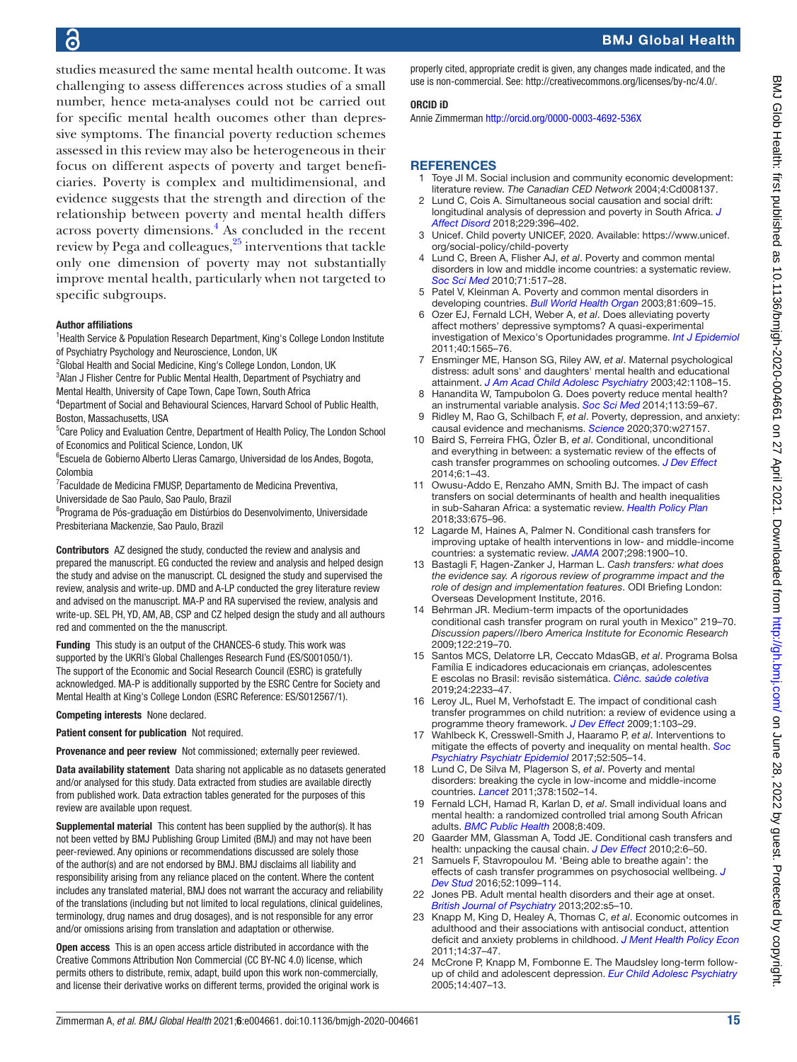studies measured the same mental health outcome. It was challenging to assess differences across studies of a small number, hence meta-analyses could not be carried out for specific mental health oucomes other than depressive symptoms. The financial poverty reduction schemes assessed in this review may also be heterogeneous in their focus on different aspects of poverty and target beneficiaries. Poverty is complex and multidimensional, and evidence suggests that the strength and direction of the relationship between poverty and mental health differs across poverty dimensions.<sup>[4](#page-14-2)</sup> As concluded in the recent review by Pega and colleagues,[25](#page-15-0) interventions that tackle only one dimension of poverty may not substantially improve mental health, particularly when not targeted to specific subgroups.

#### Author affiliations

- <sup>1</sup> Health Service & Population Research Department, King's College London Institute of Psychiatry Psychology and Neuroscience, London, UK
- <sup>2</sup>Global Health and Social Medicine, King's College London, London, UK
- <sup>3</sup> Alan J Flisher Centre for Public Mental Health, Department of Psychiatry and
- Mental Health, University of Cape Town, Cape Town, South Africa 4 Department of Social and Behavioural Sciences, Harvard School of Public Health, Boston, Massachusetts, USA
- <sup>5</sup>Care Policy and Evaluation Centre, Department of Health Policy, The London School of Economics and Political Science, London, UK
- <sup>6</sup>Escuela de Gobierno Alberto Lleras Camargo, Universidad de los Andes, Bogota, Colombia
- 7 Faculdade de Medicina FMUSP, Departamento de Medicina Preventiva,
- Universidade de Sao Paulo, Sao Paulo, Brazil
- <sup>8</sup>Programa de Pós-graduação em Distúrbios do Desenvolvimento, Universidade Presbiteriana Mackenzie, Sao Paulo, Brazil

Contributors AZ designed the study, conducted the review and analysis and prepared the manuscript. EG conducted the review and analysis and helped design the study and advise on the manuscript. CL designed the study and supervised the review, analysis and write-up. DMD and A-LP conducted the grey literature review and advised on the manuscript. MA-P and RA supervised the review, analysis and write-up. SEL PH, YD, AM, AB, CSP and CZ helped design the study and all authours red and commented on the the manuscript.

Funding This study is an output of the CHANCES-6 study. This work was supported by the UKRI's Global Challenges Research Fund (ES/S001050/1). The support of the Economic and Social Research Council (ESRC) is gratefully acknowledged. MA-P is additionally supported by the ESRC Centre for Society and Mental Health at King's College London (ESRC Reference: ES/S012567/1).

Competing interests None declared.

Patient consent for publication Not required.

Provenance and peer review Not commissioned; externally peer reviewed.

Data availability statement Data sharing not applicable as no datasets generated and/or analysed for this study. Data extracted from studies are available directly from published work. Data extraction tables generated for the purposes of this review are available upon request.

Supplemental material This content has been supplied by the author(s). It has not been vetted by BMJ Publishing Group Limited (BMJ) and may not have been peer-reviewed. Any opinions or recommendations discussed are solely those of the author(s) and are not endorsed by BMJ. BMJ disclaims all liability and responsibility arising from any reliance placed on the content. Where the content includes any translated material, BMJ does not warrant the accuracy and reliability of the translations (including but not limited to local regulations, clinical guidelines, terminology, drug names and drug dosages), and is not responsible for any error and/or omissions arising from translation and adaptation or otherwise.

Open access This is an open access article distributed in accordance with the Creative Commons Attribution Non Commercial (CC BY-NC 4.0) license, which permits others to distribute, remix, adapt, build upon this work non-commercially, and license their derivative works on different terms, provided the original work is properly cited, appropriate credit is given, any changes made indicated, and the use is non-commercial. See:<http://creativecommons.org/licenses/by-nc/4.0/>.

#### ORCID iD

Annie Zimmerman<http://orcid.org/0000-0003-4692-536X>

#### <span id="page-14-0"></span>**REFERENCES**

- Toye JI M. Social inclusion and community economic development: literature review. *The Canadian CED Network* 2004;4:Cd008137.
- 2 Lund C, Cois A. Simultaneous social causation and social drift: longitudinal analysis of depression and poverty in South Africa. *[J](http://dx.doi.org/10.1016/j.jad.2017.12.050)  [Affect Disord](http://dx.doi.org/10.1016/j.jad.2017.12.050)* 2018;229:396–402.
- <span id="page-14-1"></span>3 Unicef. Child poverty UNICEF, 2020. Available: [https://www.unicef.](https://www.unicef.org/social-policy/child-poverty) [org/social-policy/child-poverty](https://www.unicef.org/social-policy/child-poverty)
- <span id="page-14-2"></span>4 Lund C, Breen A, Flisher AJ, *et al*. Poverty and common mental disorders in low and middle income countries: a systematic review. *[Soc Sci Med](http://dx.doi.org/10.1016/j.socscimed.2010.04.027)* 2010;71:517–28.
- 5 Patel V, Kleinman A. Poverty and common mental disorders in developing countries. *[Bull World Health Organ](http://www.ncbi.nlm.nih.gov/pubmed/14576893)* 2003;81:609–15.
- 6 Ozer EJ, Fernald LCH, Weber A, *et al*. Does alleviating poverty affect mothers' depressive symptoms? A quasi-experimental investigation of Mexico's Oportunidades programme. *[Int J Epidemiol](http://dx.doi.org/10.1093/ije/dyr103)* 2011;40:1565–76.
- 7 Ensminger ME, Hanson SG, Riley AW, *et al*. Maternal psychological distress: adult sons' and daughters' mental health and educational attainment. *[J Am Acad Child Adolesc Psychiatry](http://dx.doi.org/10.1097/01.CHI.0000070261.24125.F8)* 2003;42:1108–15.
- <span id="page-14-7"></span>8 Hanandita W, Tampubolon G. Does poverty reduce mental health? an instrumental variable analysis. *[Soc Sci Med](http://dx.doi.org/10.1016/j.socscimed.2014.05.005)* 2014;113:59–67.
- <span id="page-14-3"></span>9 Ridley M, Rao G, Schilbach F, *et al*. Poverty, depression, and anxiety: causal evidence and mechanisms. *[Science](http://dx.doi.org/10.1126/science.aay0214)* 2020;370:w27157.
- <span id="page-14-4"></span>10 Baird S, Ferreira FHG, Özler B, *et al*. Conditional, unconditional and everything in between: a systematic review of the effects of cash transfer programmes on schooling outcomes. *[J Dev Effect](http://dx.doi.org/10.1080/19439342.2014.890362)* 2014;6:1–43.
- 11 Owusu-Addo E, Renzaho AMN, Smith BJ. The impact of cash transfers on social determinants of health and health inequalities in sub-Saharan Africa: a systematic review. *[Health Policy Plan](http://dx.doi.org/10.1093/heapol/czy020)* 2018;33:675–96.
- <span id="page-14-14"></span>12 Lagarde M, Haines A, Palmer N. Conditional cash transfers for improving uptake of health interventions in low- and middle-income countries: a systematic review. *[JAMA](http://dx.doi.org/10.1001/jama.298.16.1900)* 2007;298:1900–10.
- <span id="page-14-5"></span>13 Bastagli F, Hagen-Zanker J, Harman L. *Cash transfers: what does the evidence say. A rigorous review of programme impact and the role of design and implementation features*. ODI Briefing London: Overseas Development Institute, 2016.
- <span id="page-14-6"></span>14 Behrman JR. Medium-term impacts of the oportunidades conditional cash transfer program on rural youth in Mexico" 219–70. *Discussion papers//Ibero America Institute for Economic Research* 2009;122:219–70.
- 15 Santos MCS, Delatorre LR, Ceccato MdasGB, *et al*. Programa Bolsa Família E indicadores educacionais em crianças, adolescentes E escolas no Brasil: revisão sistemática. *[Ciênc. saúde coletiva](http://dx.doi.org/10.1590/1413-81232018246.19582017)* 2019;24:2233–47.
- 16 Leroy JL, Ruel M, Verhofstadt E. The impact of conditional cash transfer programmes on child nutrition: a review of evidence using a programme theory framework. *[J Dev Effect](http://dx.doi.org/10.1080/19439340902924043)* 2009;1:103–29.
- 17 Wahlbeck K, Cresswell-Smith J, Haaramo P, *et al*. Interventions to mitigate the effects of poverty and inequality on mental health. *[Soc](http://dx.doi.org/10.1007/s00127-017-1370-4)  [Psychiatry Psychiatr Epidemiol](http://dx.doi.org/10.1007/s00127-017-1370-4)* 2017;52:505–14.
- <span id="page-14-13"></span>18 Lund C, De Silva M, Plagerson S, *et al*. Poverty and mental disorders: breaking the cycle in low-income and middle-income countries. *[Lancet](http://dx.doi.org/10.1016/S0140-6736(11)60754-X)* 2011;378:1502–14.
- <span id="page-14-8"></span>19 Fernald LCH, Hamad R, Karlan D, *et al*. Small individual loans and mental health: a randomized controlled trial among South African adults. *[BMC Public Health](http://dx.doi.org/10.1186/1471-2458-8-409)* 2008;8:409.
- <span id="page-14-9"></span>20 Gaarder MM, Glassman A, Todd JE. Conditional cash transfers and health: unpacking the causal chain. *[J Dev Effect](http://dx.doi.org/10.1080/19439341003646188)* 2010;2:6–50.
- <span id="page-14-10"></span>21 Samuels F, Stavropoulou M. 'Being able to breathe again': the effects of cash transfer programmes on psychosocial wellbeing. *[J](http://dx.doi.org/10.1080/00220388.2015.1134773)  [Dev Stud](http://dx.doi.org/10.1080/00220388.2015.1134773)* 2016;52:1099–114.
- <span id="page-14-11"></span>22 Jones PB. Adult mental health disorders and their age at onset. *[British Journal of Psychiatry](http://dx.doi.org/10.1192/bjp.bp.112.119164)* 2013;202:s5–10.
- <span id="page-14-12"></span>23 Knapp M, King D, Healey A, Thomas C, *et al*. Economic outcomes in adulthood and their associations with antisocial conduct, attention deficit and anxiety problems in childhood. *[J Ment Health Policy Econ](http://www.ncbi.nlm.nih.gov/pubmed/22116171)* 2011;14:37–47.
- 24 McCrone P, Knapp M, Fombonne E. The Maudsley long-term followup of child and adolescent depression. *[Eur Child Adolesc Psychiatry](http://dx.doi.org/10.1007/s00787-005-0491-6)* 2005;14:407–13.